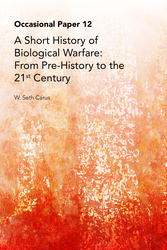### **Occasional Paper 12**

A Short History of Biological Warfare: From Pre-History to the 21<sup>st</sup> Century

W. Seth Carus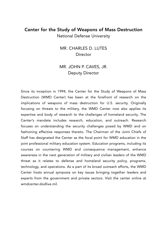#### Center for the Study of Weapons of Mass Destruction National Defense University

MR. CHARLES D. LUTES **Director** 

#### MR. JOHN P. CAVES, JR. Deputy Director

Since its inception in 1994, the Center for the Study of Weapons of Mass Destruction (WMD Center) has been at the forefront of research on the implications of weapons of mass destruction for U.S. security. Originally focusing on threats to the military, the WMD Center now also applies its expertise and body of research to the challenges of homeland security. The Center's mandate includes research, education, and outreach. Research focuses on understanding the security challenges posed by WMD and on fashioning effective responses thereto. The Chairman of the Joint Chiefs of Staff has designated the Center as the focal point for WMD education in the joint professional military education system. Education programs, including its courses on countering WMD and consequence management, enhance awareness in the next generation of military and civilian leaders of the WMD threat as it relates to defense and homeland security policy, programs, technology, and operations. As a part of its broad outreach efforts, the WMD Center hosts annual symposia on key issues bringing together leaders and experts from the government and private sectors. Visit the center online at wmdcenter.dodlive.mil.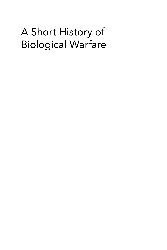## A Short History of Biological Warfare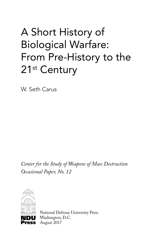# A Short History of Biological Warfare: From Pre-History to the 21<sup>st</sup> Century

W. Seth Carus

*Center for the Study of Weapons of Mass Destruction Occasional Paper, No. 12*



National Defense University Press Washington, D.C. August 2017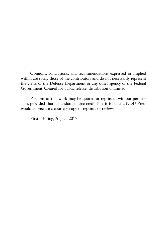Opinions, conclusions, and recommendations expressed or implied within are solely those of the contributors and do not necessarily represent the views of the Defense Department or any other agency of the Federal Government. Cleared for public release; distribution unlimited.

Portions of this work may be quoted or reprinted without permission, provided that a standard source credit line is included. NDU Press would appreciate a courtesy copy of reprints or reviews.

First printing, August 2017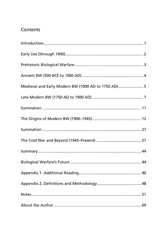### Contents

| Medieval and Early Modern BW (1000 AD to 1750 AD)  5 |  |
|------------------------------------------------------|--|
|                                                      |  |
|                                                      |  |
|                                                      |  |
|                                                      |  |
|                                                      |  |
|                                                      |  |
|                                                      |  |
|                                                      |  |
|                                                      |  |
|                                                      |  |
|                                                      |  |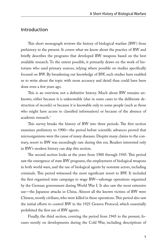#### Introduction

This short monograph reviews the history of biological warfare (BW) from prehistory to the present. It covers what we know about the practice of BW and briefly describes the programs that developed BW weapons based on the best available research. To the extent possible, it primarily draws on the work of historians who used primary sources, relying where possible on studies specifically focused on BW. By broadening our knowledge of BW, such studies have enabled us to write about the topic with more accuracy and detail than could have been done even a few years ago.

This is an overview, not a definitive history. Much about BW remains unknown, either because it is unknowable (due in some cases to the deliberate destruction of records) or because it is knowable only to some people (such as those who might have access to classified information) or because of the absence of academic research.<sup>1</sup>

This survey breaks the history of BW into three periods. The first section examines prehistory to 1900—the period before scientific advances proved that microorganisms were the cause of many diseases. Despite many claims to the contrary, resort to BW was exceedingly rare during this era. Readers interested only in BW's modern history can skip this section.

The second section looks at the years from 1900 through 1945. This period saw the emergence of state BW programs, the employment of biological weapons in both world wars, and the use of biological agents by nonstate actors, including criminals. This period witnessed the most significant resort to BW. It included the first organized state campaign to wage BW—sabotage operations organized by the German government during World War I. It also saw the most extensive use—the Japanese attacks in China. Almost all the known victims of BW were Chinese, mostly civilians, who were killed in these operations. This period also saw the initial efforts to control BW in the 1925 Geneva Protocol, which essentially prohibited the first use of BW agents.

Finally, the third section, covering the period from 1945 to the present, focuses mostly on developments during the Cold War, including descriptions of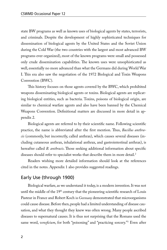state BW programs as well as known uses of biological agents by states, terrorists, and criminals. Despite the development of highly sophisticated techniques for dissemination of biological agents by the United States and the Soviet Union during the Cold War (the two countries with the largest and most advanced BW programs ever organized), most of the known programs were small and possessed only crude dissemination capabilities. The known uses were unsophisticated as well, essentially no more advanced than what the Germans did during World War I. This era also saw the negotiation of the 1972 Biological and Toxin Weapons Convention (BWC).

This history focuses on those agents covered by the BWC, which prohibited weapons disseminating biological agents or toxins. Biological agents are replicating biological entities, such as bacteria. Toxins, poisons of biological origin, are similar to chemical warfare agents and also have been banned by the Chemical Weapons Convention. Definitional matters are discussed in more detail in appendix 2.

Biological agents are referred to by their scientific name. Following scientific practice, the name is abbreviated after the first mention. Thus, *Bacillus anthracis* (commonly, but incorrectly, called anthrax), which causes several diseases (including cutaneous anthrax, inhalational anthrax, and gastrointestinal anthrax), is hereafter called *B. anthracis*. Those seeking additional information about specific diseases should refer to specialist works that describe them in more detail.<sup>2</sup>

Readers wishing more detailed information should look at the references cited in the notes. Appendix 1 also provides suggested readings.

#### Early Use (through 1900)

Biological warfare, as we understand it today, is a modern invention. It was not until the middle of the  $19<sup>th</sup>$  century that the pioneering scientific research of Louis Pasteur in France and Robert Koch in Germany demonstrated that microorganisms could cause disease. Before then, people had a limited understanding of disease causation, and what they thought they knew was often wrong. Many people ascribed diseases to supernatural causes. It is thus not surprising that the Romans used the same word, *veneficium*, for both "poisoning" and "practicing sorcery."3 Even after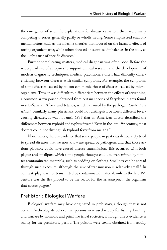the emergence of scientific explanations for disease causation, there were many competing theories, generally partly or wholly wrong. Some emphasized environmental factors, such as the miasma theories that focused on the harmful effects of rotting organic matter, while others focused on supposed imbalances in the body as the likely cause of specific diseases.<sup>4</sup>

Further complicating matters, medical diagnosis was often poor. Before the widespread use of autopsies to support clinical research and the development of modern diagnostic techniques, medical practitioners often had difficulty differentiating between diseases with similar symptoms. For example, the symptoms of some diseases caused by poison can mimic those of diseases caused by microorganisms. Thus, it was difficult to differentiate between the effects of strychnine, a common arrow poison obtained from certain species of Strychnos plants found in sub-Saharan Africa, and tetanus, which is caused by the pathogen *Clostridium tetani*. 5 Similarly, many physicians could not distinguish between different fevercausing diseases. It was not until 1837 that an American doctor described the differences between typhoid and typhus fevers.<sup>6</sup> Even in the late 19<sup>th</sup> century, most doctors could not distinguish typhoid fever from malaria.<sup>7</sup>

Nonetheless, there is evidence that some people in past eras deliberately tried to spread diseases that we now know are spread by pathogens, and that those actions plausibly could have caused disease transmission. This occurred with both plague and smallpox, which some people thought could be transmitted by fomites (contaminated materials, such as bedding or clothes). Smallpox can be spread through such exposure, although the risk of transmission is relatively small.<sup>8</sup> In contrast, plague is not transmitted by contaminated material; only in the late  $19<sup>th</sup>$ century was the flea proved to be the vector for the *Yersinia pestis*, the organism that causes plague.<sup>9</sup>

#### Prehistoric Biological Warfare

Biological warfare may have originated in prehistory, although that is not certain. Archeologists believe that poisons were used widely for fishing, hunting, and warfare by nomadic and primitive tribal societies, although direct evidence is scanty for the prehistoric period. The poisons were toxins obtained from readily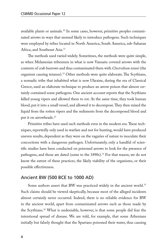available plants or animals.<sup>10</sup> In some cases, however, primitive peoples contaminated arrows in ways that seemed likely to introduce pathogens. Such techniques were employed by tribes located in North America, South America, sub-Saharan Africa, and Southeast Asia.<sup>11</sup>

The methods used varied widely. Sometimes, the methods were quite simple, as when Melanesian tribesmen in what is now Vanuatu covered arrows with the contents of crab burrows and thus contaminated them with *Clostridium tetani* (the organism causing tetanus).12 Other methods were quite elaborate. The Scythians, a nomadic tribe that inhabited what is now Ukraine, during the era of Classical Greece, used an elaborate technique to produce an arrow poison that almost certainly contained some pathogens. One ancient account reports that the Scythians killed young vipers and allowed them to rot. At the same time, they took human blood, put it into a small vessel, and allowed it to decompose. They then mixed the liquid from the rotten vipers and the sediments from the decomposed blood and put it on arrowheads.<sup>13</sup>

Primitive tribes have used such methods even in the modern era. These techniques, reportedly only used in warfare and not for hunting, would have produced uneven results, dependent as they were on the vagaries of nature to inoculate their concoctions with a dangerous pathogen. Unfortunately, only a handful of scientific studies have been conducted on poisoned arrows to look for the presence of pathogens, and those are dated (some to the 1890s).<sup>14</sup> For that reason, we do not know the extent of these practices, the likely viability of the organisms, or their possible effectiveness.

#### Ancient BW (500 BCE to 1000 AD)

Some authors assert that BW was practiced widely in the ancient world.<sup>15</sup> Such claims should be viewed skeptically, because most of the alleged incidents almost certainly never occurred. Indeed, there is no reliable evidence for BW in the ancient world, apart from contaminated arrows such as those made by the Scythians.16 What is undeniable, however, is that some people did fear the intentional spread of disease. We are told, for example, that some Athenians initially but falsely thought that the Spartans poisoned their water, thus causing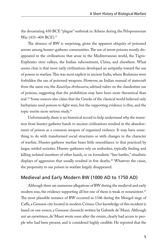the devastating 430 BCE "plague" outbreak in Athens during the Peloponnesian War (431-404 BCE).<sup>17</sup>

The absence of BW is surprising, given the apparent ubiquity of poisoned arrows among hunter-gatherer communities. The use of arrow poisons mostly disappeared in the civilizations that arose in the Mediterranean world, the Tigris-Euphrates river valleys, the Indian subcontinent, China, and elsewhere. What seems clear is that most early civilizations developed an antipathy toward the use of poison in warfare. This was most explicit in ancient India, where Brahmins were forbidden the use of poisoned weapons. However, an Indian manual of statecraft from the same era, the *Kautiliya Arthasastra*, advised rulers on the clandestine use of poisons, suggesting that the prohibition may have been more theoretical than real.18 Some sources also claim that the Greeks of the classical world believed only barbarians used poisons to fight wars, but the supporting evidence is thin, and the topic merits more serious study.19

Unfortunately, there is no historical record to help understand why the transition from hunter-gatherer bands to ancient civilizations resulted in the abandonment of poison as a common weapon of organized violence. It may have something to do with transformed social structures or with changes in the character of warfare. Hunter-gatherer warfare bears little resemblance to that practiced by larger, settled societies. Hunter-gatherers rely on ambushes, typically finding and killing isolated members of other bands, or on formalistic "line battles," ritualistic displays of aggression that usually resulted in few deaths.<sup>20</sup> Whatever the cause, the propensity to use poison in warfare largely disappeared.

#### Medieval and Early Modern BW (1000 AD to 1750 AD)

Although there are numerous allegations of BW during the medieval and early modern eras, the evidence supporting all but one of them is weak or nonexistent.<sup>21</sup> The most plausible instance of BW occurred in 1346 during the Mongol siege of Caffa, a Genoese city located in modern Crimea. Our knowledge of this incident is based on one source, a Genoese chronicle written by Gabriele de' Mussi. Although not an eyewitness, de' Mussi wrote soon after the events, clearly had access to people who had been present, and is considered highly credible. He reported that the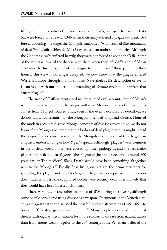Mongols, then in control of the territory around Caffa, besieged the town in 1345 but were forced to retreat in 1346 when their army suffered a plague outbreak. Before abandoning the siege, the Mongols catapulted "what seemed like mountains of dead" into Caffa, which de' Mussi says caused an outbreak in the city. Although the Genoese clearly suffered heavily, they were not forced to abandon Caffa. Some of the survivors carried the disease with them when they left Caffa, and de' Mussi attributes the further spread of the plague to the return of these people to their homes. This view is no longer accepted; we now know that the plague entered Western Europe through multiple routes. Nevertheless, his description of events is consistent with our modern understanding of *Yersinia pestis*, the organism that causes plague.<sup>22</sup>

The siege of Caffa is mentioned in several medieval accounts, but de' Mussi's is the only one to mention the plague outbreak. Moreover, none of our accounts comes from Mongol sources. Thus, even if the events occurred as described, we do not know for certain that the Mongols intended to spread disease. None of the modern accounts discuss Mongol concepts of disease causation, so we do not know if the Mongols believed that the bodies of dead plague victims might spread the plague. It also is unclear whether the Mongols would have had time to gain an empirical understanding of how *Y. pestis* spread. Although "plagues" were common in the ancient world, most were caused by other pathogens, and the last major plague outbreak tied to *Y. pestis* (the Plague of Justinian) occurred around 800 years earlier. The medieval Black Death would have been something altogether new to the Mongols.23 Finally, fleas living on rats are the primary vectors for spreading the plague, not dead bodies, and they leave a corpse as the body cools down. Hence, unless the catapulted bodies were recently dead, it is unlikely that they would have been infested with fleas.<sup>24</sup>

There were few if any other examples of BW during these years, although some people considered using disease as a weapon. Documents in the Venetian archives suggest that they discussed the possibility when attempting (1649–1651) to break the Turkish siege of a town in Crete.<sup>25</sup> Many people also feared intentional disease, although armies invariably lost more soldiers to disease from natural causes than from enemy weapons prior to the 20<sup>th</sup> century. Some Venetians believed the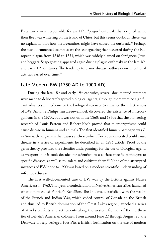Byzantines were responsible for an 1171 "plague" outbreak that erupted while their fleet was wintering on the island of Chios, but this seems doubtful. There was no explanation for how the Byzantines might have caused the outbreak.<sup>26</sup> Perhaps the best-documented examples are the scapegoating that occurred during the European plague from 1348 to 1351, which was widely blamed on foreigners, Jews, and beggars. Scapegoating appeared again during plague outbreaks in the late  $16<sup>th</sup>$ and early 17<sup>th</sup> centuries. The tendency to blame disease outbreaks on intentional acts has varied over time.27

#### Late Modern BW (1750 AD to 1900 AD)

During the late  $18<sup>th</sup>$  and early  $19<sup>th</sup>$  centuries, several documented attempts were made to deliberately spread biological agents, although there were no significant advances in medicine or the biological sciences to enhance the effectiveness of BW. Antonie Philips van Leeuwenhoek discovered the existence of microorganisms in the 1670s, but it was not until the 1860s and 1870s that the pioneering research of Louis Pasteur and Robert Koch proved that microorganisms could cause disease in humans and animals. The first identified human pathogen was *B. anthracis*, the organism that causes anthrax, which Koch demonstrated could cause disease in a series of experiments he described in an 1876 article. Proof of the germ theory provided the scientific underpinnings for the use of biological agents as weapons, but it took decades for scientists to associate specific pathogens to specific diseases, as well as to isolate and cultivate them.<sup>28</sup> None of the attempted instances of BW prior to 1900 was based on a modern scientific understanding of infectious disease.

The first well-documented case of BW was by the British against Native Americans in 1763. That year, a confederation of Native American tribes launched what is now called Pontiac's Rebellion. The Indians, dissatisfied with the results of the French and Indian War, which ceded control of Canada to the British and thus led to British domination of the Great Lakes region, launched a series of attacks on forts and settlements along the western frontier of the northern tier of Britain's American colonies. From around June 22 through August 20, the Delaware loosely besieged Fort Pitt, a British fortification on the site of modern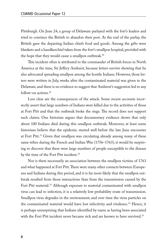Pittsburgh. On June 24, a group of Delaware parlayed with the fort's leaders and tried to convince the British to abandon their post. At the end of the parlay, the British gave the departing Indian chiefs food and goods. Among the gifts were blankets and a handkerchief taken from the fort's smallpox hospital, provided with the hope that they would cause a smallpox outbreak.<sup>29</sup>

This incident often is attributed to the commander of British forces in North America at the time, Sir Jeffery Amherst, because letters survive showing that he also advocated spreading smallpox among the hostile Indians. However, those letters were written in July, weeks after the contaminated material was given to the Delaware, and there is no evidence to suggest that Amherst's suggestion led to any follow-on actions.30

Less clear are the consequences of the attack. Some recent accounts incorrectly assert that large numbers of Indians were killed due to the activities of those at Fort Pitt and that the outbreak broke the siege. The record does not support such claims. One historian argues that documentary evidence shows that only about 100 Indians died during this smallpox outbreak. Moreover, at least some historians believe that the epidemic started well before the late June encounter at Fort Pitt.<sup>31</sup> Given that smallpox was circulating already among many of these same tribes during the French and Indian War (1756–1763), it would be surprising to discover that there were large numbers of people susceptible to the disease by the time of the Fort Pitt incident.<sup>32</sup>

Nor is there necessarily an association between the smallpox victims of 1763 and what happened at Fort Pitt. There were many other contacts between Europeans and Indians during this period, and it is far more likely that the smallpox outbreak resulted from those interactions than from the transmission caused by the Fort Pitt material.<sup>33</sup> Although exposure to material contaminated with smallpox virus can lead to infection, it is a relatively low probability route of transmission. Smallpox virus degrades in the environment, and over time the virus particles on the contaminated material would have lost infectivity and virulence.<sup>34</sup> Hence, it is perhaps unsurprising that Indians identified by name as having been associated with the Fort Pitt incident never became sick and are known to have survived.<sup>35</sup>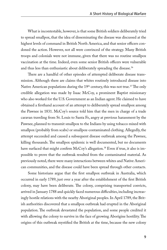What is incontestable, however, is that some British soldiers deliberately tried to spread smallpox, that the idea of disseminating the disease was discussed at the highest levels of command in British North America, and that senior officers condoned the action. However, not all were convinced of the strategy. Many British troops and colonials were not immune, given that there was no routine smallpox vaccination at the time. Indeed, even some senior British officers were vulnerable and thus less than enthusiastic about deliberately spreading the disease.<sup>36</sup>

There are a handful of other episodes of attempted deliberate disease transmission. Although there are claims that whites routinely introduced disease into Native American populations during the  $19<sup>th</sup>$  century, this was not true.<sup>37</sup> The only credible allegation was made by Isaac McCoy, a prominent Baptist missionary who also worked for the U.S. Government as an Indian agent. He claimed to have obtained a firsthand account of an attempt to deliberately spread smallpox among the Pawnee in 1831. McCoy's source told him that the men in charge of a trade caravan traveling from St. Louis to Santa Fe, angry at previous harassment by the Pawnee, planned to transmit smallpox to the Indians by using tobacco mixed with smallpox (probably from scabs) or smallpox-contaminated clothing. Allegedly, the attempt succeeded and caused a subsequent disease outbreak among the Pawnee, killing thousands. The smallpox epidemic is well documented, but no documents have surfaced that might confirm McCoy's allegation.<sup>38</sup> Even if true, it also is impossible to prove that the outbreak resulted from the contaminated material. As previously noted, there were many interactions between whites and Native American communities, and the disease could have been spread through other contacts.

Some historians argue that the first smallpox outbreak in Australia, which occurred in early 1789, just over a year after the establishment of the first British colony, may have been deliberate. The colony, comprising transported convicts, arrived in January 1788 and quickly faced numerous difficulties, including increasingly hostile relations with the nearby Aboriginal peoples. In April 1789, the British authorities discovered that a smallpox outbreak had erupted in the Aboriginal population. The outbreak devastated the population, and some people credited it with allowing the colony to survive in the face of growing Aborigine hostility. The origins of this outbreak mystified the British at the time, because the new colony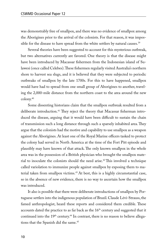was demonstrably free of smallpox, and there was no evidence of smallpox among the Aborigines prior to the arrival of the colonists. For that reason, it was impossible for the disease to have spread from the white settlers by natural causes.<sup>39</sup>

Several theories have been suggested to account for this mysterious outbreak, but two alternatives currently are favored. One theory is that the disease might have been introduced by Macassar fishermen from the Indonesian island of Sulawesi (once called Celebes). These fishermen regularly visited Australia's northern shore to harvest sea slugs, and it is believed that they were subjected to periodic outbreaks of smallpox by the late 1700s. For this to have happened, smallpox would have had to spread from one small group of Aborigines to another, traveling the 2,000-mile distance from the northern coast to the area around the new colony.40

Some dissenting historians claim that the smallpox outbreak resulted from a deliberate introduction.41 They reject the theory that Macassar fisherman introduced the disease, arguing that it would have been difficult to sustain the chain of transmission such a long distance through such a sparsely inhabited area. They argue that the colonists had the motive and capability to use smallpox as a weapon against the Aborigines. At least one of the Royal Marine officers tasked to protect the colony had served in North America at the time of the Fort Pitt episode and plausibly may have known of that attack. The only known smallpox in the whole area was in the possession of a British physician who brought the smallpox material to inoculate the colonists should the need arise.<sup>42</sup> This involved a technique called variolation to immunize people against smallpox by exposing them to material taken from smallpox victims.<sup>43</sup> At best, this is a highly circumstantial case, so in the absence of new evidence, there is no way to ascertain how the smallpox was introduced.

It also is possible that there were deliberate introductions of smallpox by Portuguese settlers into the indigenous population of Brazil. Claude Lévi-Strauss, the famed anthropologist, heard these reports and considered them credible. These accounts dated the practice to as far back as the  $16<sup>th</sup>$  century and suggested that it continued into the  $19<sup>th</sup>$  century.<sup>44</sup> In contrast, there is no reason to believe allegations that the Spanish did the same.<sup>45</sup>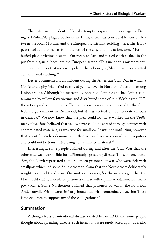There also were incidents of failed attempts to spread biological agents. During a 1784–1785 plague outbreak in Tunis, there was considerable tension between the local Muslims and the European Christians residing there. The Europeans isolated themselves from the rest of the city, and in reaction, some Muslims buried plague victims near the European enclave and tossed cloth soaked in the pus from plague buboes into the European sector.<sup>46</sup> This incident is misrepresented in some sources that incorrectly claim that a besieging Muslim army catapulted contaminated clothing.47

Better documented is an incident during the American Civil War in which a Confederate physician tried to spread yellow fever in Northern cities and among Union troops. Although he successfully obtained clothing and bedclothes contaminated by yellow fever victims and distributed some of it in Washington, DC, the action produced no results. The plot probably was not authorized by the Confederate government in Richmond, but it was abetted by Confederate officials in Canada.48 We now know that the plan could not have worked. In the 1860s, many physicians believed that yellow fever could be spread through contact with contaminated materials, as was true for smallpox. It was not until 1900, however, that scientific studies demonstrated that yellow fever was spread by mosquitoes and could not be transmitted using contaminated material.<sup>49</sup>

Interestingly, some people claimed during and after the Civil War that the other side was responsible for deliberately spreading disease. Thus, on one occasion, the North repatriated some Southern prisoners of war who were sick with smallpox, which led some Southerners to claim that the Northerners deliberately sought to spread the disease. On another occasion, Southerners alleged that the North deliberately inoculated prisoners of war with syphilis-contaminated smallpox vaccine. Some Northerners claimed that prisoners of war in the notorious Andersonville Prison were similarly inoculated with contaminated vaccine. There is no evidence to support any of these allegations.<sup>50</sup>

#### Summation

Although fears of intentional disease existed before 1900, and some people thought about spreading disease, such intentions were rarely acted upon. It is also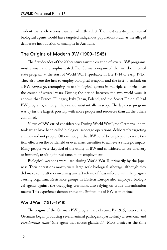evident that such actions usually had little effect. The most catastrophic uses of biological agents would have targeted indigenous populations, such as the alleged deliberate introduction of smallpox in Australia.

#### The Origins of Modern BW (1900–1945)

The first decades of the 20<sup>th</sup> century saw the creation of several BW programs, mostly small and unsophisticated. The Germans organized the first documented state program at the start of World War I (probably in late 1914 or early 1915). They also were the first to employ biological weapons and the first to embark on a BW *campaign*, attempting to use biological agents in multiple countries over the course of several years. During the period between the two world wars, it appears that France, Hungary, Italy, Japan, Poland, and the Soviet Union all had BW programs, although they varied substantially in scope. The Japanese program was by far the largest, possibly with more people and resources than all the others combined.

Views of BW varied considerably. During World War I, the Germans undertook what have been called biological sabotage operations, deliberately targeting animals and not people. Others thought that BW could be employed to create tactical effects on the battlefield or even mass casualties to achieve a strategic impact. Many people were skeptical of the utility of BW and considered its use unsavory or immoral, resulting in resistance to its employment.

Biological weapons were used during World War II, primarily by the Japanese. Their operations mostly were large-scale biological sabotage, although they did make some attacks involving aircraft release of fleas infected with the plaguecausing organism. Resistance groups in Eastern Europe also employed biological agents against the occupying Germans, also relying on crude dissemination means. This experience demonstrated the limitations of BW at that time.

#### World War I (1915–1918)

The origins of the German BW program are obscure. By 1915, however, the Germans began producing several animal pathogens, particularly *B. anthracis* and *Pseudomonas mallei* (the agent that causes glanders).<sup>51</sup> Most armies at the time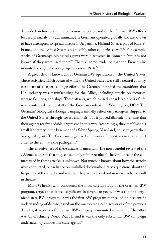depended on horses and mules to move supplies, and so the German BW efforts focused primarily on such animals. The Germans operated globally and are known to have attempted to spread disease in Argentina, Finland (then a part of Russia), France, and the United States, and possibly other countries as well.<sup>52</sup> For example, stocks of Germany's biological agents were discovered in Romania, but it is not known if they were used there.<sup>53</sup> There is some evidence that the French also mounted biological sabotage operations in 1916.<sup>54</sup>

A great deal is known about German BW operations in the United States. These activities, which occurred while the United States was still a neutral country, were part of a larger sabotage effort. The Germans targeted the munitions that U.S. industry was manufacturing for the Allies, including attacks on factories, storage facilities, and ships. These attacks, which caused considerable loss of life, were controlled by the staff of the German embassy in Washington, DC.<sup>55</sup> The Germans' biological sabotage campaign initially relied on pathogens shipped to the United States through covert channels, but it proved difficult to ensure that their agents received viable organisms in this way. Accordingly, they established a small laboratory in the basement of a Silver Spring, Maryland, house to grow their biological agents. The Germans organized a network of operatives in several port cities to disseminate the pathogens.56

The effectiveness of these attacks is uncertain. The most careful review of the evidence suggests that they caused only minor results.<sup>57</sup> The virulence of the cultures used in these attacks is unknown. Not much is known about how the attacks were conducted, but reliance on unskilled dockworkers raises questions about the frequency of the attacks and whether they were carried out in ways likely to result in disease.

Mark Wheelis, who conducted the most careful study of the German BW program, argues that it was significant in several respects. It was the first organized state BW program; it was the first BW program that relied on a scientific understanding of disease, based on the microbiological discoveries of the previous decades; it was one of only two BW campaigns mounted in wartime (the other was Japan's during World War II); and it was the only substantial BW campaign undertaken by clandestine state agents.<sup>58</sup>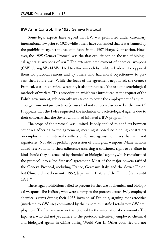#### BW Arms Control: The 1925 Geneva Protocol

Some legal experts have argued that BW was prohibited under customary international law prior to 1925, while others have contended that it was banned by the prohibition against the use of poisons in the 1907 Hague Convention. However, the 1925 Geneva Protocol was the first explicit ban on the use of biological agents as weapons of war.<sup>59</sup> The extensive employment of chemical weapons (CW) during World War I led to efforts—both by military leaders who opposed them for practical reasons and by others who had moral objections— to prevent their future use. While the focus of the agreement negotiated, the Geneva Protocol, was on chemical weapons, it also prohibited "the use of bacteriological methods of warfare." This proscription, which was introduced at the request of the Polish government, subsequently was taken to cover the employment of any microorganisms, not just bacteria (viruses had not yet been discovered at the time).60 It appears that the Poles requested the inclusion of bacteriological agents due to their concerns that the Soviet Union had initiated a BW program.<sup>61</sup>

The scope of the protocol was limited. It only applied to conflicts between countries adhering to the agreement, meaning it posed no binding constraints on employment in internal conflicts or for use against countries that were not signatories. Nor did it prohibit possession of biological weapons. Many nations added reservations to their adherence asserting a continued right to retaliate in kind should they be attacked by chemical or biological agents, which transformed the protocol into a "no first use" agreement. Most of the major powers ratified the Geneva Protocol, including France, Germany, Italy, and the Soviet Union, but China did not do so until 1952, Japan until 1970, and the United States until 1971.62

These legal prohibitions failed to prevent further use of chemical and biological weapons. The Italians, who were a party to the protocol, extensively employed chemical agents during their 1935 invasion of Ethiopia, arguing that atrocities (unrelated to CW use) committed by their enemies justified retaliatory CW employment. The Italians were not sanctioned by the international community. The Japanese, who did not yet adhere to the protocol, extensively employed chemical and biological agents in China during World War II. Other countries did not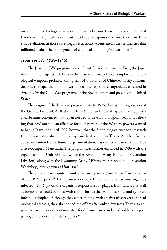use chemical or biological weapons, probably because their military and political leaders were skeptical about the utility of such weapons or because they feared enemy retaliation. In those cases, legal restrictions accentuated other tendencies that militated against the employment of chemical and biological weapons.<sup>63</sup>

#### Japanese BW (1939–1945)

The Japanese BW program is significant for several reasons. First, the Japanese used their agents in China in the most extensively known employment of biological weapons, probably killing tens of thousands of Chinese, mostly civilians. Second, the Japanese program was one of the largest ever organized, exceeded in size only by the Cold War programs of the Soviet Union and possibly the United States.

The origins of the Japanese program date to 1925, during the negotiation of the Geneva Protocol. At that time, Ishii Shiro, an Imperial Japanese army physician, became convinced that Japan needed to develop biological weapons, believing that BW must be an effective form of warfare if the Western powers wanted to ban it. It was not until 1932, however, that the first biological weapons research facility was established at the army's medical school in Tokyo. Another facility, apparently intended for human experimentation, was created the next year in Japanese-occupied Manchuria. The program was further expanded in 1936 with the organization of Unit 731 (known as the Kwantung Army Epidemic Prevention Division), along with the Kwantung Army Military Horse Epidemic Prevention Workshop, later known as Unit 100.<sup>64</sup>

The program was quite primitive in many ways ("amateurish" in the view of one BW expert).65 The Japanese developed methods for disseminating fleas infected with *Y. pestis*, the organism responsible for plague, from aircraft, as well as bombs that could be filled with agent slurries that would explode and generate infectious droplets. Although they experimented with an aircraft sprayer to spread biological aerosols, they abandoned the effort after only a few tests. They also appear to have dropped contaminated food from planes and used soldiers to pour pathogen slurries into water supplies.<sup>66</sup>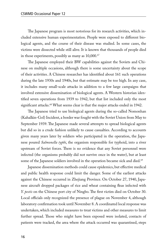The Japanese program is most notorious for its research activities, which included extensive human experimentation. People were exposed to different biological agents, and the course of their disease was studied. In some cases, the victims were dissected while still alive. It is known that thousands of people died in those experiments, possibly as many as 10,000.<sup>67</sup>

The Japanese employed their BW capabilities against the Soviets and Chinese on multiple occasions, although there is some uncertainty about the scope of their activities. A Chinese researcher has identified about 161 such operations during the late 1930s and 1940s, but that estimate may be too high. In any case, it includes many small-scale attacks in addition to a few large campaigns that involved extensive dissemination of biological agents. A Western historian identified seven operations from 1939 to 1942, but that list included only the most significant attacks.<sup>68</sup> What seems clear is that the major attacks ended in 1942.

The Japanese tried to use biological agents during the so-called Nomonhan (Kahalkin-Gol) Incident, a border war fought with the Soviet Union from May to September 1939. The Japanese made several attempts to spread biological agents but did so in a crude fashion unlikely to cause casualties. According to accounts given many years later by soldiers who participated in the operation, the Japanese poured *Salmonella typhi*, the organism responsible for typhoid, into a river upstream of Soviet forces. There is no evidence that any Soviet personnel were infected (the organisms probably did not survive once in the water), but at least some of the Japanese soldiers involved in the operation became sick and died.<sup>69</sup>

Japanese dissemination methods could cause epidemics, but effective medical and public health response could limit the danger. Some of the earliest attacks against the Chinese occurred in Zhejiang Province. On October 27, 1940, Japanese aircraft dropped packages of rice and wheat containing fleas infected with *Y. pestis* on the Chinese port city of Ningbo. The first victim died on October 30. Local officials only recognized the presence of plague on November 4, although laboratory confirmation took until November 8. A coordinated local response was undertaken, which included measures to treat victims and other measures to limit further spread. Those who might have been exposed were isolated, contacts of patients were tracked, the area where the attack occurred was quarantined, steps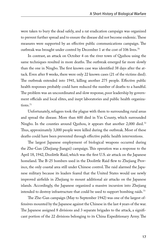were taken to bury the dead safely, and a rat eradication campaign was organized to prevent further spread and to ensure the disease did not become endemic. These measures were supported by an effective public communications campaign. The outbreak was brought under control by December 1 at the cost of 106 lives.<sup>70</sup>

In contrast, an attack on October 4 on the river town of Quzhou using the same techniques resulted in more deaths. The outbreak emerged far more slowly than the one in Ningbo. The first known case was identified 38 days after the attack. Even after 8 weeks, there were only 22 known cases (21 of the victims died). The outbreak extended into 1941, killing another 275 people. Effective public health responses probably could have reduced the number of deaths to a handful. The problem was an uncoordinated and slow response, poor leadership by government officials and local elites, and inept laboratories and public health organiza $tions.<sup>71</sup>$ 

Unfortunately, refugees took the plague with them to surrounding rural areas and spread the disease. More than 600 died in Yin County, which surrounded Ningbo. In the counties around Quzhou, it appears that another 2,000 died.<sup>72</sup> Thus, approximately 3,000 people were killed during the outbreak. Most of these deaths could have been prevented through effective public health interventions.

The largest Japanese employment of biological weapons occurred during the Zhe-Gan (Zhejiang-Jiangxi) campaign. This operation was a response to the April 18, 1942, Doolittle Raid, which was the first U.S. air attack on the Japanese homeland. The B-25 bombers used in the Doolittle Raid flew to Zhejiang Province, the only coastal area still under Chinese control. The raid alarmed the Japanese military because its leaders feared that the United States would use newly improved airfields in Zhejiang to mount additional air attacks on the Japanese islands. Accordingly, the Japanese organized a massive incursion into Zhejiang intended to destroy infrastructure that could be used to support bombing raids.<sup>73</sup>

The Zhe-Gan campaign (May to September 1942) was one of the largest offensives mounted by the Japanese against the Chinese in the last 4 years of the war. The Japanese assigned 8 divisions and 3 separate brigades to the attack, a significant portion of the 22 divisions belonging to its China Expeditionary Army. The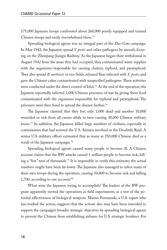175,000 Japanese troops confronted about 260,000 poorly equipped and trained Chinese troops and easily overwhelmed them.<sup>74</sup>

Spreading biological agents was an integral part of the Zhe-Gan campaign. In May 1942, the Japanese spread *Y. pestis* and other pathogens by aircraft, focusing on the Zhenjiang-Jiangxi Railway. As the Japanese began their withdrawal in August 1942 from the areas they had occupied, they contaminated water supplies with the organisms responsible for causing cholera, typhoid, and paratyphoid. They also spread *B. anthracis* in rice fields, released fleas infected with *Y. pestis*, and gave the Chinese cakes contaminated with unspecified pathogens. These activities were conducted under the direct control of Ishii.75 At the end of the operation, the Japanese reportedly infected 3,000 Chinese prisoners of war by giving them food contaminated with the organisms responsible for typhoid and paratyphoid. The prisoners were then freed to spread the disease further.<sup>76</sup>

The Japanese claimed that they lost only 1,000 dead and another 10,000 wounded or sick from all causes while in turn causing 30,000 Chinese military losses.77 In addition, the Japanese killed large numbers of civilians, especially in communities that had assisted the U.S. Airmen involved in the Doolittle Raid. A senior U.S. military officer estimated that as many as 250,000 Chinese died as a result of the Japanese campaign.78

Spreading biological agents caused many people to become ill. A Chinese account claims that the BW attacks caused 1 million people to become sick, killing a "few" tens of thousands.79 It is impossible to verify this estimate; the actual numbers might have been far lower. The Japanese also managed to infect many of their own troops during the operation, causing 10,000 to become sick and killing 1,700, according to one account.<sup>80</sup>

What were the Japanese trying to accomplish? The leaders of the BW program apparently viewed the operations as field experiments, as a test of the potential effectiveness of biological weapons. Martin Furmanski, a U.S. expert who has studied the action, suggests that the actions also may have been intended to support the campaign's broader strategic objectives by spreading biological agents to prevent the Chinese from establishing airbases for U.S. strategic bombers. For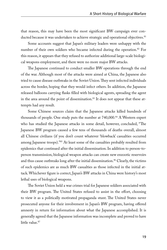that reason, this may have been the most significant BW campaign ever conducted because it was undertaken to achieve strategic and operational objectives.<sup>81</sup>

Some accounts suggest that Japan's military leaders were unhappy with the number of their own soldiers who became infected during the operation.<sup>82</sup> For this reason, it appears that they refused to authorize additional large-scale biological weapons employment, and there were no more major BW attacks.

The Japanese continued to conduct smaller BW operations through the end of the war. Although most of the attacks were aimed at China, the Japanese also tried to cause disease outbreaks in the Soviet Union. They sent infected individuals across the border, hoping that they would infect others. In addition, the Japanese released balloons carrying flasks filled with biological agents, spreading the agent in the area around the point of dissemination.<sup>83</sup> It does not appear that these attempts had any result.

Some Chinese sources claim that the Japanese attacks killed hundreds of thousands of people. One study puts the number at 740,000.<sup>84</sup> A Western expert who has studied the Japanese attacks in some detail, however, concluded, "The Japanese BW program caused a few tens of thousands of deaths overall, almost all Chinese civilians (if you don't count whatever 'blowback' casualties occurred among Japanese troops)."85 At least some of the casualties probably resulted from epidemics that continued after the initial dissemination. In addition to person-toperson transmission, biological weapon attacks can create new enzootic reservoirs and thus cause outbreaks long after the initial dissemination.<sup>86</sup> Clearly, the victims of such epidemics are as much BW casualties as those infected in the initial attack. Whichever figure is correct, Japan's BW attacks in China were history's most lethal uses of biological weapons.

The Soviet Union held a war crimes trial for Japanese soldiers associated with their BW program. The United States refused to assist in the effort, choosing to view it as a politically motivated propaganda stunt. The United States never prosecuted anyone for their involvement in Japan's BW program, having offered amnesty in return for information about what the Japanese accomplished. It is generally agreed that the Japanese information was incomplete and proved to have little value.<sup>87</sup>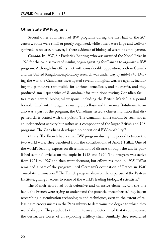#### Other State BW Programs

Several other countries had BW programs during the first half of the 20<sup>th</sup> century. Some were small or poorly organized, while others were large and well-organized. In no case, however, is there evidence of biological weapons employment.

*Canada.* In 1937, Sir Frederick Banting, who was awarded the Nobel Prize in 1923 for the co-discovery of insulin, began agitating for Canada to organize a BW program. Although his efforts met with considerable opposition, both in Canada and the United Kingdom, exploratory research was under way by mid-1940. During the war, the Canadians investigated several biological warfare agents, including the pathogens responsible for anthrax, brucellosis, and tularemia, and they produced small quantities of *B. anthracis* for munitions testing. Canadian facilities tested several biological weapons, including the British Mark I, a 4-pound bomblet filled with the agents causing brucellosis and tularemia. Botulinum toxin also was a part of the program; the Canadians tested a cluster munition that dispensed darts coated with the poison. The Canadian effort should be seen not as an independent activity but rather as a component of the larger British and U.S. programs. The Canadians developed no operational BW capability.<sup>88</sup>

*France.* The French had a small BW program during the period between the two world wars. They benefited from the contributions of André Trillat. One of the world's leading experts on dissemination of disease through the air, he published seminal articles on the topic in 1918 and 1920. The program was active from 1921 to 1927 and then went dormant, but efforts resumed in 1935. Trillat remained a part of the program until Germany's occupation of France in 1940 caused its termination.<sup>89</sup> The French program drew on the expertise of the Pasteur Institute, giving it access to some of the world's leading biological scientists.<sup>90</sup>

The French effort had both defensive and offensive elements. On the one hand, the French were trying to understand the potential threat better. They began researching dissemination technologies and techniques, even to the extent of releasing microorganisms in the Paris subway to determine the degree to which they would disperse. They studied botulinum toxin and determined that it could survive the destructive forces of an exploding artillery shell. Similarly, they researched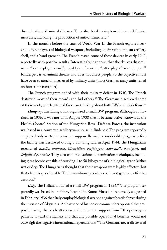dissemination of animal diseases. They also tried to implement some defensive measures, including the production of anti-anthrax sera.<sup>91</sup>

In the months before the start of World War II, the French explored several different types of biological weapons, including an aircraft bomb, an artillery shell, and a hand grenade. The French tested some of these devices in early 1940, reportedly with positive results. Interestingly, it appears that the devices disseminated "bovine plague virus," probably a reference to "cattle plague" or rinderpest.<sup>92</sup> Rinderpest is an animal disease and does not affect people, so the objective must have been to attack horses used by military units (most German army units relied on horses for transport).

The French program ended with their military defeat in 1940. The French destroyed most of their records and hid others.<sup>93</sup> The Germans discovered some of their work, which affected German thinking about both BW and biodefense.<sup>94</sup>

*Hungary.* The Hungarians organized a small BW program. Although authorized in 1936, it was not until August 1938 that it became active. Known as the Health Control Station of the Hungarian Royal Defense Forces, the institution was based in a converted artillery warehouse in Budapest. The program reportedly employed only six technicians but supposedly made considerable progress before the facility was destroyed during a bombing raid in April 1944. The Hungarians researched *Bacillus anthracis*, *Clostridium perfringens*, *Salmonella paratyphi*, and *Shigella dysenteriae*. They also explored various dissemination techniques, including glass bombs capable of carrying 1 to 50 kilograms of a biological agent (either wet or dry). The Hungarians thought that these weapons were highly effective, but that claim is questionable. Their munitions probably could not generate effective aerosols.95

Italy. The Italians initiated a small BW program in 1934.<sup>96</sup> The program reportedly was based in a military hospital in Rome. Mussolini reportedly suggested in February 1936 that Italy employ biological weapons against hostile forces during the invasion of Abyssinia. At least one of his senior commanders opposed the proposal, fearing that such attacks would undermine support from Ethiopians sympathetic toward the Italians and that any possible operational benefits would not outweigh the negative international repercussions.<sup>97</sup> The Germans never discovered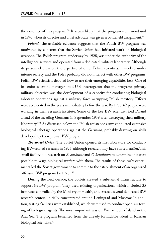the existence of this program.<sup>98</sup> It seems likely that the program went moribund in 1940 when its director and chief advocate was given a battlefield assignment.<sup>99</sup>

*Poland.* The available evidence suggests that the Polish BW program was motivated by concerns that the Soviet Union had initiated work on biological weapons. The Polish program, underway by 1928, was under the authority of the intelligence services and operated from a dedicated military laboratory. Although its personnel drew on the expertise of other Polish scientists, it worked under intense secrecy, and the Poles probably did not interact with other BW programs. Polish BW scientists debated how to use their emerging capabilities best. One of its senior scientific managers told U.S. interrogators that the program's primary military objective was the development of a capacity for conducting biological sabotage operations against a military force occupying Polish territory. Efforts were accelerated in the years immediately before the war. By 1938, 67 people were working in their research institute. Some of the key BW scientists fled Poland ahead of the invading Germans in September 1939 after destroying their military laboratory.<sup>100</sup> As discussed below, the Polish resistance army conducted extensive biological sabotage operations against the Germans, probably drawing on skills developed by their prewar BW program.

*The Soviet Union.* The Soviet Union opened its first laboratory for conducting BW-related research in 1925, although research may have started earlier. This small facility did research on *B. anthracis* and *C. botulinum* to determine if it were possible to wage biological warfare with them. The results of those early experiments led the Soviet government to commit to the establishment of an organized offensive BW program by 1928.101

During the next decade, the Soviets created a substantial infrastructure to support its BW program. They used existing organizations, which included 35 institutes controlled by the Ministry of Health, and created several dedicated BW research centers, initially concentrated around Leningrad and Moscow. In addition, testing facilities were established, which were used to conduct open-air testing of biological agents. The most important was on Vozrozhdenia Island in the Aral Sea. The program benefited from the already formidable talent of Russian biological scientists.102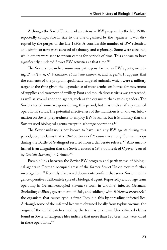Although the Soviet Union had an extensive BW program by the late 1930s, reportedly comparable in size to the one organized by the Japanese, it was disrupted by the purges of the late 1930s. A considerable number of BW scientists and administrators were accused of sabotage and espionage. Some were executed, while others were sent to prison camps for periods of time. This appears to have significantly hindered Soviet BW activities at that time.<sup>103</sup>

The Soviets researched numerous pathogens for use as BW agents, including *B. anthracis*, *C. botulinum, Francisella tularensis,* and *Y. pestis*. It appears that the elements of the program specifically targeted animals, which were a military target at the time given the dependence of most armies on horses for movement of supplies and transport of artillery. Foot and mouth disease virus was researched, as well as several zoonotic agents, such as the organism that causes glanders. The Soviets tested some weapons during this period, but it is unclear if any reached operational status. The potential effectiveness of the munitions is unknown. Information on Soviet preparedness to employ BW is scanty, but it is unlikely that the Soviets used biological agents except in sabotage operations.<sup>104</sup>

The Soviet military is not known to have used any BW agents during this period, despite claims that a 1942 outbreak of *F. tularensis* among German troops during the Battle of Stalingrad resulted from a deliberate release.<sup>105</sup> Also unconfirmed is an allegation that the Soviets caused a 1943 outbreak of Q fever (caused by *Coxiella burnetti*) in Crimea.106

Possible links between the Soviet BW program and partisan use of biological agents in German-occupied areas of the former Soviet Union require further investigation.107 Recently discovered documents confirm that some Soviet intelligence operatives deliberately spread a biological agent. Reportedly, a sabotage team operating in German-occupied Slavuta (a town in Ukraine) infected Germans (including civilians, government officials, and soldiers) with *Rickettsia prowazekii*, the organism that causes typhus fever. They did this by spreading infected lice. Although some of the infected lice were obtained locally from typhus victims, the origin of the initial batches used by the team is unknown. Unconfirmed claims found in Soviet intelligence files indicate that more than 120 Germans were killed in these operations.108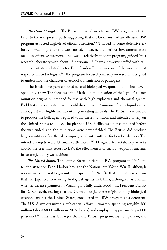*The United Kingdom.* The British initiated an offensive BW program in 1940. Prior to the war, press reports suggesting that the Germans had an offensive BW program attracted high-level official attention.109 This led to some defensive efforts. It was only after the war started, however, that serious investments were made in offensive weapons. This was a relatively modest program, guided by a research laboratory with about 45 personnel.<sup>110</sup> It was, however, staffed with talented scientists, and its director, Paul Gordon Fildes, was one of the world's most respected microbiologists.<sup>111</sup> The program focused primarily on research designed to understand the character of aerosol transmission of pathogens.

The British program explored several biological weapons options but developed only a few. The focus was the Mark I, a modification of the Type F cluster munition originally intended for use with high explosives and chemical agents. Field tests demonstrated that it could disseminate *B. anthracis* from a liquid slurry, although it was highly inefficient in generating aerosols. The British were unable to produce the bulk agent required to fill these munitions and intended to rely on the United States to do so. The planned U.S. facility was not completed before the war ended, and the munitions were never fielded. The British did produce large quantities of cattle cakes impregnated with anthrax for bomber delivery. The intended targets were German cattle herds.<sup>112</sup> Designed for retaliatory attacks should the Germans resort to BW, the effectiveness of such a weapon is unclear; its strategic utility was dubious.

*The United States.* The United States initiated a BW program in 1942, after the attack on Pearl Harbor brought the Nation into World War II, although serious work did not begin until the spring of 1943. By that time, it was known that the Japanese were using biological agents in China, although it is unclear whether defense planners in Washington fully understood this. President Franklin D. Roosevelt, fearing that the Germans or Japanese might employ biological weapons against the United States, considered the BW program as a deterrent. The U.S. Army organized a substantial effort, ultimately spending roughly \$60 million (about \$800 million in 2016 dollars) and employing approximately 4,000 personnel.113 This was far larger than the British program. By comparison, the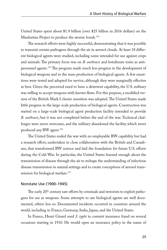United States spent about \$1.9 billion (over \$25 billion in 2016 dollars) on the Manhattan Project to produce the atomic bomb.<sup>114</sup>

The research efforts were highly successful, demonstrating that it was possible to transmit certain pathogens through the air in aerosol clouds. At least 18 different biological agents were studied, including some intended for use against crops and animals. The primary focus was on *B. anthracis* and botulinum toxin as antipersonnel agents.115 The program made much less progress in the development of biological weapons and in the mass production of biological agents. A few munitions were tested and adopted for service, although they were marginally effective at best. Given the perceived need to have a deterrent capability, the U.S. military was willing to accept weapons with known flaws. For this purpose, a modified version of the British Mark I cluster munition was adopted. The United States made little progress in the large-scale production of biological agents. Construction was started on a large-scale biological agent production facility intended to provide *B. anthracis*, but it was not completed before the end of the war. Technical challenges were never overcome, and the military abandoned the facility, which never produced any BW agent.<sup>116</sup>

The United States ended the war with no employable BW capability but had a research effort, undertaken in close collaboration with the British and Canadians, that transformed BW science and laid the foundation for future U.S. efforts during the Cold War. In particular, the United States learned enough about the transmission of disease through the air to reshape the understanding of infectious disease transmission in natural settings and to create conceptions of aerosol transmission for biological warfare.<sup>117</sup>

#### Nonstate Use (1900–1945)

The early  $20<sup>th</sup>$  century saw efforts by criminals and terrorists to exploit pathogens for use as weapons. Some attempts to use biological agents are well documented, others less so. Documented incidents occurred in countries around the world, including in France, Germany, India, Japan, and the United States.

In France, Henri Girard used *S. typhi* to commit insurance fraud on several occasions starting in 1910. He would open an insurance policy in the name of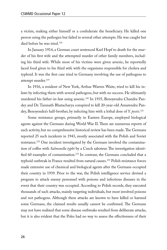a victim, making either himself or a confederate the beneficiary. He killed one person using the pathogen but failed in several other attempts. He was caught but died before he was tried.<sup>118</sup>

In January 1914, a German court sentenced Karl Hopf to death for the murder of his first wife and the attempted murder of other family members, including his third wife. While most of his victims were given arsenic, he reportedly laced food given to his third wife with the organisms responsible for cholera and typhoid. It was the first case tried in Germany involving the use of pathogens to attempt murder.<sup>119</sup>

In 1916, a resident of New York, Arthur Warren Waite, tried to kill his inlaws by infecting them with several pathogens, but with no success. He ultimately murdered his father-in-law using arsenic.120 In 1935, Benoyendra Chandra Pandey and Dr. Taranath Bhatacharya conspired to kill 20-year-old Amarendra Pandey, Benoyendra's half-brother, by infecting him with a lethal dose of *Y. pestis*. 121

Some resistance groups, primarily in Eastern Europe, employed biological agents against the Germans during World War II. There are numerous reports of such activity, but no comprehensive historical review has been made. The Germans reported 25 such incidents in 1943, mostly associated with the Polish and Soviet resistance.122 One incident investigated by the Germans involved the contamination of coffee with *Salmonella typhi* by a Czech saboteur. The investigation identified 60 examples of contamination.<sup>123</sup> In contrast, the Germans concluded that a typhoid outbreak in France resulted from natural causes.<sup>124</sup> Polish resistance forces made extensive use of chemical and biological agents after the Germans occupied their country in 1939. Prior to the war, the Polish intelligence service devised a program to attack enemy personnel with poisons and infectious diseases in the event that their country was occupied. According to Polish records, they executed thousands of such attacks, mainly targeting individuals, but most involved poisons and not pathogens. Although these attacks are known to have killed or harmed some Germans, the claimed results usually cannot be confirmed. The Germans may not have realized that some disease outbreaks resulted from deliberate attacks, but it is also evident that the Poles had no way to assess the effectiveness of their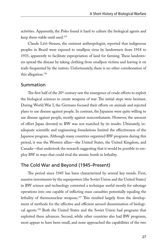activities. Apparently, the Poles found it hard to culture the biological agents and keep them viable until used.125

Claude Lévi-Strauss, the eminent anthropologist, reported that indigenous peoples in Brazil were exposed to smallpox virus by landowners from 1918 to 1935, apparently to facilitate expropriation of land for farming. These landowners spread the disease by taking clothing from smallpox victims and leaving it on trails frequented by the natives. Unfortunately, there is no other corroboration of this allegation.126

#### Summation

The first half of the 20<sup>th</sup> century saw the emergence of crude efforts to exploit the biological sciences to create weapons of war. The initial steps were hesitant. During World War I, the Germans focused their efforts on animals and rejected plans to use disease against people. In contrast, the Japanese were quite willing to use disease against people, mostly against noncombatants. However, the amount of effort Japan devoted to BW was not matched by its results. Ultimately, inadequate scientific and engineering foundations limited the effectiveness of the Japanese program. Although many countries organized BW programs during this period, it was the Western allies—the United States, the United Kingdom, and Canada—that undertook the research suggesting that it would be possible to employ BW in ways that could rival the atomic bomb in lethality.

#### The Cold War and Beyond (1945–Present)

The period since 1945 has been characterized by several key trends. First, massive investments by the superpowers (the Soviet Union and the United States) in BW science and technology converted a technique useful mostly for sabotage operations into one capable of inflicting mass casualties potentially equaling the lethality of thermonuclear weapons.<sup>127</sup> This resulted largely from the development of methods for the effective and efficient aerosol dissemination of biological agents.128 Both the United States and the Soviet Union had programs that exploited these advances. Second, while other countries also had BW programs, most appear to have been small, and none approached the capabilities of the two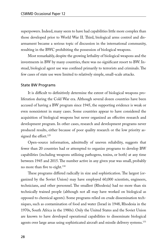superpowers. Indeed, many seem to have had capabilities little more complex than those developed prior to World War II. Third, biological arms control and disarmament became a serious topic of discussion in the international community, resulting in the BWC prohibiting the possession of biological weapons.

Most remarkably, despite the growing lethality of biological weapons and the investments in BW by many countries, there was no significant resort to BW. Instead, biological agent use was confined primarily to terrorists and criminals. The few cases of state use were limited to relatively simple, small-scale attacks.

#### State BW Programs

It is difficult to definitively determine the extent of biological weapons proliferation during the Cold War era. Although several dozen countries have been accused of having a BW program since 1945, the supporting evidence is weak or even nonexistent in many cases. Some countries appear to have considered the acquisition of biological weapons but never organized an effective research and development program. In other cases, research and development programs never produced results, either because of poor quality research or the low priority assigned the effort.<sup>129</sup>

Open-source information, admittedly of uneven reliability, suggests that fewer than 20 countries had or attempted to organize programs to develop BW capabilities (including weapons utilizing pathogens, toxins, or both) at any time between 1945 and 2015. The number active in any given year was small, probably no more than five to eight.130

These programs differed radically in size and sophistication. The largest (organized by the Soviet Union) may have employed 60,000 scientists, engineers, technicians, and other personnel. The smallest (Rhodesia) had no more than six technically trained people (although not all may have worked on biological as opposed to chemical agents). Some programs relied on crude dissemination techniques, such as contamination of food and water (Israel in 1948, Rhodesia in the 1970s, South Africa in the 1980s). Only the United States and the Soviet Union are known to have developed operational capabilities to disseminate biological agents over large areas using sophisticated aircraft and missile delivery systems.<sup>131</sup>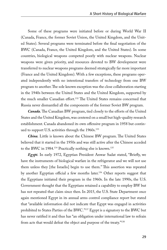Some of these programs were initiated before or during World War II (Canada, France, the former Soviet Union, the United Kingdom, and the United States). Several programs were terminated before the final negotiation of the BWC (Canada, France, the United Kingdom, and the United States). In some countries, biological weapons competed poorly with nuclear weapons. Nuclear weapons were given priority, and resources devoted to BW development were transferred to nuclear weapons programs deemed strategically far more important (France and the United Kingdom). With a few exceptions, these programs operated independently with no intentional transfers of technology from one BW program to another. The sole known exception was the close collaboration starting in the 1940s between the United States and the United Kingdom, supported by the much smaller Canadian effort.<sup>132</sup> The United States remains concerned that Russia never dismantled all the components of the former Soviet BW program.

*Canada.* The Canadian BW program, tied closely to the efforts of the United States and the United Kingdom, was centered on a small but high-quality research establishment. Canada abandoned its own offensive program in 1958 but continued to support U.S. activities through the 1960s.<sup>133</sup>

*China.* Little is known about the Chinese BW program. The United States believed that it started in the 1950s and was still active after the Chinese acceded to the BWC in 1984.<sup>134</sup> Practically nothing else is known.<sup>135</sup>

*Egypt.* In early 1972, Egyptian President Anwar Sadat stated, "Briefly, we have the instruments of biological warfare in the refrigerator and we will not use them unless they [the Israelis] begin to use them." This assertion was repeated by another Egyptian official a few months later.<sup>136</sup> Other reports suggest that the Egyptians initiated their program in the 1960s. In the late 1990s, the U.S. Government thought that the Egyptians retained a capability to employ BW but has not repeated that claim since then. In 2015, the U.S. State Department once again mentioned Egypt in its annual arms control compliance report but stated that "available information did not indicate that Egypt was engaged in activities prohibited to States Parties of the BWC."137 Egypt is a signatory to the BWC but has never ratified it and thus has "an obligation under international law to refrain from acts that would defeat the object and purpose of the treaty."138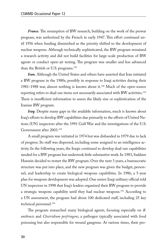*France.* The resumption of BW research, building on the work of the prewar program, was authorized by the French in early 1947. This effort continued until 1956 when funding diminished as the priority shifted to the development of nuclear weapons. Although technically sophisticated, the BW program remained a research activity and did not build facilities for large-scale production of BW agents or conduct open-air testing. The program was smaller and less advanced than the British or U.S. programs.<sup>139</sup>

*Iran.* Although the United States and others have asserted that Iran initiated a BW program in the 1980s, possibly in response to Iraqi activities during their 1981–1988 war, almost nothing is known about it.140 Much of the open-source reporting refers to dual-use items not necessarily associated with BW activities.<sup>141</sup> There is insufficient information to assess the likely size or sophistication of the Iranian BW program.

*Iraq.* Despite many gaps in the available information, much is known about Iraq's efforts to develop BW capabilities due primarily to the efforts of United Nations (UN) inspectors after the 1991 Gulf War and the investigations of the U.S. Government after 2003.142

A small program was initiated in 1974 but was disbanded in 1979 due to lack of progress. Its staff was dispersed, including some assigned to an intelligence activity. In the following years, the Iraqis continued to develop dual-use capabilities needed for a BW program but undertook little substantive work. In 1983, Saddam Hussein decided to restart the BW program. Over the next 3 years, a bureaucratic structure was put into place, and the new program was given the budget, personnel, and leadership to create biological weapons capabilities. In 1986, a 5-year plan for weapons development was adopted. One senior Iraqi military official told UN inspectors in 1998 that Iraq's leaders organized their BW program to provide a strategic weapons capability until they had nuclear weapons.<sup>143</sup> According to a UN assessment, the program had about 100 dedicated staff, including 25 key technical personnel.<sup>144</sup>

The program researched many biological agents, focusing especially on *B. anthracis* and *Clostridium perfringens*, a pathogen typically associated with food poisoning but also responsible for wound gangrene. At various times, their pro-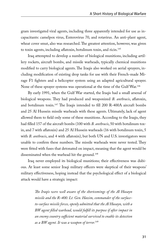gram investigated viral agents, including three apparently intended for use as incapacitants: camelpox virus, Enterovirus 70, and rotavirus. An anti-plant agent, wheat cover smut, also was researched. The greatest attention, however, was given to toxin agents, including aflatoxin, botulinum toxin, and ricin.145

Iraq attempted to develop a number of biological munitions, including artillery rockets, aircraft bombs, and missile warheads, typically chemical munitions modified to carry biological agents. The Iraqis also worked on aerial sprayers, including modification of existing drop tanks for use with their French-made Mirage F1 fighters and a helicopter system using an adapted agricultural sprayer. None of these sprayer systems was operational at the time of the Gulf War.<sup>146</sup>

By early 1991, when the Gulf War started, the Iraqis had a small arsenal of biological weapons. They had produced and weaponized *B. anthracis*, aflatoxin, and botulinum toxin.147 The Iraqis intended to fill 200 R-400A aircraft bombs and 25 Al Hussein missile warheads with these agents. Ultimately, lack of agent allowed them to field only some of these munitions. According to the Iraqis, they had filled 157 of the aircraft bombs (100 with *B. anthracis*, 50 with botulinum toxin, and 7 with aflatoxin) and 25 Al Hussein warheads (16 with botulinum toxin, 5 with *B. anthracis*, and 4 with aflatoxin), but both UN and U.S. investigators were unable to confirm these numbers. The missile warheads were never tested. They were fitted with fuses that detonated on impact, meaning that the agent would be disseminated when the warhead hit the ground.<sup>148</sup>

Iraq never employed its biological munitions; their effectiveness was dubious. At least some senior Iraqi military officers were skeptical of their weapons' military effectiveness, hoping instead that the psychological effect of a biological attack would have a strategic impact:

> *The Iraqis were well aware of the shortcomings of the Al Husayn missile and the R-400. Lt. Gen. Hazim, commander of the surfaceto-surface missile forces, openly admitted that the Al Husayn, with a BW agent filled warhead, would fulfill its purpose if after impact in an enemy country sufficient material survived to enable its detection as a BW agent. It was a weapon of terror.*149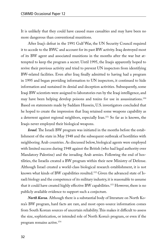It is unlikely that they could have caused mass casualties and may have been no more dangerous than conventional munitions.

After Iraq's defeat in the 1991 Gulf War, the UN Security Council required it to accede to the BWC and account for its past BW activity. Iraq destroyed most of its BW agent and associated munitions in the months after the war but attempted to keep the program a secret. Until 1995, the Iraqis apparently hoped to revive their previous activity and tried to prevent UN inspectors from identifying BW-related facilities. Even after Iraq finally admitted to having had a program in 1995 and began providing information to UN inspectors, it continued to hide information and sustained its denial and deception activities. Subsequently, some Iraqi BW scientists were assigned to laboratories run by the Iraqi intelligence, and may have been helping develop poisons and toxins for use in assassinations.150 Based on statements made by Saddam Hussein, U.S. investigators concluded that he hoped to create the impression that Iraq retained some weapons capability as a deterrent against regional neighbors, especially Iran.151 So far as is known, the Iraqis never employed their biological weapons.

*Israel.* The Israeli BW program was initiated in the months before the establishment of the state in May 1948 and the subsequent outbreak of hostilities with neighboring Arab countries. As discussed below, biological agents were employed with limited success during 1948 against the British (who had legal authority over Mandatory Palestine) and the invading Arab armies. Following the end of hostilities, the Israelis created a BW program within their new Ministry of Defense. Although Israel created a world-class biological research establishment, it is not known what kinds of BW capabilities resulted.<sup>152</sup> Given the advanced state of Israeli biology and the competence of its military industry, it is reasonable to assume that it could have created highly effective BW capabilities.<sup>153</sup> However, there is no publicly available evidence to support such a conjecture.

*North Korea.* Although there is a substantial body of literature on North Korea's BW program, hard facts are rare, and most open-source information comes from South Korean sources of uncertain reliability. This makes it difficult to assess the size, sophistication, or intended role of North Korea's program, or even if the program remains active.154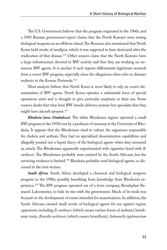The U.S. Government believes that the program originated in the 1960s, and a 1993 Russian government report claims that the North Koreans were testing biological weapons on an offshore island. The Russians also mentioned that North Korea held stocks of smallpox, which it was supposed to have destroyed after the eradication of that disease.<sup>155</sup> Other sources claim that the North Koreans have a large infrastructure devoted to BW activity and that they are working on numerous BW agents. It is unclear if such reports differentiate legitimate research from a covert BW program, especially since the allegations often refer to diseases endemic to the Korean Peninsula.<sup>156</sup>

Most analysts believe that North Korea is most likely to rely on covert dissemination of BW agents. North Korea operates a substantial force of special operations units and is thought to give particular emphasis to their use. Some sources doubt that they have BW missile delivery systems but speculate that they might have aircraft sprayers.<sup>157</sup>

*Rhodesia (now Zimbabwe).* The white Rhodesian regime operated a small BW program in the 1970s run by a professor of anatomy at the University of Rhodesia. It appears that the Rhodesians tried to culture the organisms responsible for cholera and anthrax. They had no specialized dissemination capabilities and allegedly poured out a liquid slurry of the biological agents when they mounted an attack. The Rhodesians apparently experimented with cigarettes laced with *B. anthracis*. The Rhodesians probably were assisted by the South Africans, but the surviving evidence is limited.<sup>158</sup> Rhodesia probably used biological agents, as discussed in the next section.

*South Africa.* South Africa developed a chemical and biological weapons program in the 1980s, possibly benefiting from knowledge from Rhodesia's experience.159 The BW program operated out of a front company, Roodeplaat Research Laboratories, to hide its ties with the government. Much of its work was focused on the development of toxins intended for assassinations. In addition, the South Africans created small stocks of biological agents for use against regime opponents, including *B. anthracis* (which causes various forms of anthrax), botulinum toxin, *Brucella melitensis* (which causes brucellosis), *Salmonella typhimurium*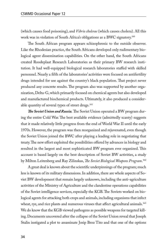(which causes food poisoning), and *Vibrio cholerae* (which causes cholera). All this work was in violation of South Africa's obligations as a BWC signatory.160

The South African program appears schizophrenic to the outside observer. Like the Rhodesian practice, the South Africans developed only rudimentary biological agent dissemination capabilities. On the other hand, the South Africans created Roodeplaat Research Laboratories as their primary BW research institution. It had well-equipped biological research laboratories staffed with skilled personnel. Nearly a fifth of the laboratories' activities were focused on antifertility drugs intended for use against the country's black population. That project never produced any concrete results. The program also was supported by another organization, Delta-G, which primarily focused on chemical agents but also developed and manufactured biochemical products. Ultimately, it also produced a considerable quantity of several types of street drugs.<sup>161</sup>

*The Soviet Union and Russia.* The Soviet Union operated a BW program during the entire Cold War. The best available evidence (admittedly scanty) suggests that it made relatively little progress from the end of World War II until the early 1970s. However, the program was then reorganized and rejuvenated, even though the Soviet Union joined the BWC after playing a leading role in negotiating that treaty. The new effort exploited the possibilities offered by advances in biology and resulted in the largest and most sophisticated BW program ever organized. This account is based largely on the best description of Soviet BW activities, a study by Milton Leitenberg and Ray Zilinskas, *The Soviet Biological Weapons Program*. 162

A great deal is known about the scientific underpinnings of the program; much less is known of its military dimensions. In addition, there are whole aspects of Soviet BW development that remain largely unknown, including the anti-agriculture activities of the Ministry of Agriculture and the clandestine operations capabilities of the Soviet intelligence services, especially the KGB. The Soviets worked on biological agents for attacking both crops and animals, including organisms that infect wheat, rye, and rice plants and numerous viruses that affect agricultural animals.<sup>163</sup> We do know that the KGB viewed pathogens as possible weapons for targeted killing. Documents uncovered after the collapse of the Soviet Union reveal that Joseph Stalin instigated a plot to assassinate Josip Broz Tito and that one of the options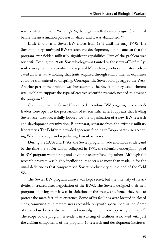was to infect him with *Yersinia pestis*, the organism that causes plague. Stalin died before the assassination plot was finalized, and it was abandoned.<sup>164</sup>

Little is known of Soviet BW efforts from 1945 until the early 1970s. The Soviet military continued BW research and development, but it is unclear that the program ever fielded militarily significant capabilities. Part of the problem was scientific. During the 1930s, Soviet biology was tainted by the views of Trofim Lysenko, an agricultural scientist who rejected Mendelian genetics and instead advocated an alternative holding that traits acquired through environmental exposures could be transmitted to offspring. Consequently, Soviet biology lagged the West. Another part of the problem was bureaucratic. The Soviet military establishment was unable to support the type of creative scientific research needed to advance the program.165

Convinced that the Soviet Union needed a robust BW program, the country's leaders were open to the persuasions of its scientific elite. It appears that leading Soviet scientists successfully lobbied for the organization of a new BW research and development organization, Biopreparat, separate from the existing military laboratories. The Politburo provided generous funding to Biopreparat, also accepting Western biology and repudiating Lysenko's views.

During the 1970s and 1980s, the Soviet program made enormous strides, and by the time the Soviet Union collapsed in 1991, the scientific underpinnings of its BW program went far beyond anything accomplished by others. Although the research program was highly inefficient, its sheer size more than made up for the usual deficiencies that compromised Soviet productivity by the end of the Cold War.

The Soviet BW program always was kept secret, but the intensity of its activities increased after negotiation of the BWC. The Soviets designed their new program knowing that it was in violation of the treaty, and hence they had to protect the mere fact of its existence. Some of its facilities were located in closed cities, communities in remote areas accessible only with special permission. Some of these closed cities also were unacknowledged, not even appearing on maps.166 The scope of the program is evident in a listing of facilities associated with just the civilian components of the program: 10 research and development institutes,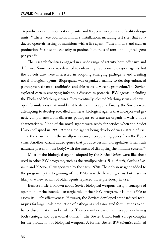14 production and mobilization plants, and 8 special weapons and facility design units.<sup>167</sup> There were additional military installations, including test sites that conducted open-air testing of munitions with a live agent.<sup>168</sup> The military and civilian production sites had the capacity to produce hundreds of tons of biological agent per year.169

The research facilities engaged in a wide range of activity, both offensive and defensive. Some work was devoted to enhancing traditional biological agents, but the Soviets also were interested in adopting emerging pathogens and creating novel biological agents. Biopreparat was organized mainly to develop enhanced pathogens resistant to antibiotics and able to evade vaccine protection. The Soviets explored certain emerging infectious diseases as potential BW agents, including the Ebola and Marburg viruses. They eventually selected Marburg virus and developed formulations that would enable its use in weapons. Finally, the Soviets were attempting to develop so-called chimeras, biological agents that incorporated genetic components from different pathogens to create an organism with unique characteristics. None of the novel agents were ready for service when the Soviet Union collapsed in 1991. Among the agents being developed was a strain of vaccinia, the virus used in the smallpox vaccine, incorporating genes from the Ebola virus. Another variant added genes that produce certain bioregulators (chemicals naturally present in the body) with the intent of disrupting the immune system.<sup>170</sup>

Most of the biological agents adopted by the Soviet Union were like those used in other BW programs, such as the smallpox virus, *B. anthracis*, *Coxiella burnetii*, and *Y. pestis*, all weaponized by the early 1970s. The only new agent added to the program by the beginning of the 1990s was the Marburg virus, but it seems likely that new strains of older agents replaced those previously in use.<sup>171</sup>

Because little is known about Soviet biological weapons design, concepts of operation, or the intended strategic role of their BW program, it is impossible to assess its likely effectiveness. However, the Soviets developed standardized techniques for large-scale production of pathogens and associated formulations to enhance dissemination and virulence. They certainly viewed their weapons as having both strategic and operational utility.<sup>172</sup> The Soviet Union built a huge complex for the production of biological weapons. A former Soviet BW scientist claimed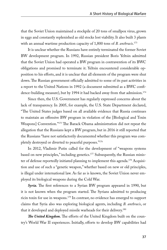that the Soviet Union maintained a stockpile of 20 tons of smallpox virus, grown in eggs and constantly replenished as old stocks lost viability. It also built 3 plants with an annual wartime production capacity of 1,800 tons of *B. anthracis*. 173

It is unclear whether the Russians have entirely terminated the former Soviet BW development program. In 1992, Russian president Boris Yeltsin admitted that the Soviet Union had operated a BW program in contravention of its BWC obligations and promised to terminate it. Yeltsin encountered considerable opposition to his efforts, and it is unclear that all elements of the program were shut down. The Russian government officially admitted to some of its past activities in a report to the United Nations in 1992 (a document submitted as a BWC confidence-building measure), but by 1994 it had backed away from that admission.<sup>174</sup>

Since then, the U.S. Government has regularly expressed concerns about the lack of transparency. In 2005, for example, the U.S. State Department declared, "The United States judges based on all available evidence that Russia continues to maintain an offensive BW program in violation of the [Biological and Toxin Weapons] Convention."175 The Barack Obama administration did not repeat the allegation that the Russians kept a BW program, but in 2016 it still reported that the Russians "have not satisfactorily documented whether this program was completely destroyed or diverted to peaceful purposes."176

In 2012, Vladimir Putin called for the development of "weapons systems based on new principles," including genetics.177 Subsequently, the Russian minister of defense reportedly initiated planning to implement this agenda.<sup>178</sup> Acquisition and use of such a "genetic weapon," whether based on new or old principles, is illegal under international law. As far as is known, the Soviet Union never employed its biological weapons during the Cold War.

*Syria.* The first references to a Syrian BW program appeared in 1990, but it is not known when the program started. The Syrians admitted to producing ricin toxin for use in weapons.179 In contrast, no evidence has emerged to support claims that Syria also was exploring biological agents, including *B. anthracis*, or that it developed and deployed missile warheads for their delivery.180

*The United Kingdom.* The efforts of the United Kingdom built on the country's World War II experiences. Initially, efforts to develop BW capabilities had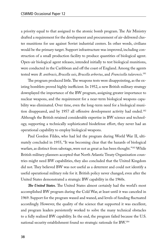a priority equal to that assigned to the atomic bomb program. The Air Ministry drafted a requirement for the development and procurement of air-delivered cluster munitions for use against Soviet industrial centers. In other words, civilians would be the primary target. Support infrastructure was improved, including construction of a small production facility to produce quantities of biological agent. Open-air biological agent releases, intended initially to test biological munitions, were conducted in the Caribbean and off the coast of England. Among the agents tested were *B. anthracis*, *Brucella suis*, *Brucella arbortus*, and *Francisella tularensis*. 181

The program produced little. The weapons tests were disappointing, as the existing bomblets proved highly inefficient. In 1952, a new British military strategy downplayed the importance of the BW program, assigning greater importance to nuclear weapons, and the requirement for a near-term biological weapons capability was eliminated. Over time, even the long-term need for a biological munition disappeared, and by 1957 all offensive development activity had ended.182 Although the British retained considerable expertise in BW science and technology, supporting a technically sophisticated biodefense effort, they never had an operational capability to employ biological weapons.

Paul Gordon Fildes, who had led the program during World War II, ultimately concluded in 1955, "It was becoming clear that the hazards of biological warfare, as distinct from sabotage, were not as great as has been thought."183 While British military planners accepted that North Atlantic Treaty Organization countries might need BW capabilities, they also concluded that the United Kingdom did not. They believed BW was not useful as a deterrent and could not identify a useful operational military role for it. British policy never changed, even after the United States demonstrated a strategic BW capability in the 1960s.

*The United States.* The United States almost certainly had the world's most accomplished BW program during the Cold War, at least until it was canceled in 1969. Support for the program waxed and waned, and levels of funding fluctuated accordingly. However, the quality of the science that supported it was excellent, and program leaders persistently worked to solve the many technical obstacles to a fully realized BW capability. In the end, the program failed because the U.S. national security establishment found no strategic rationale for BW.184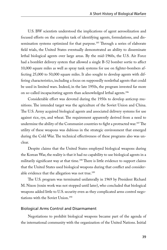U.S. BW scientists understood the implications of agent aerosolization and focused efforts on the complex task of identifying agents, formulations, and dissemination systems optimized for that purpose.<sup>185</sup> Through a series of elaborate field trials, the United States eventually demonstrated an ability to disseminate lethal biological agents over large areas. By the mid-1960s, the U.S. Air Force had a bomblet delivery system that allowed a single B-52 bomber sortie to affect 10,000 square miles as well as spray tank systems for use on fighter-bombers affecting 25,000 to 50,000 square miles. It also sought to develop agents with differing characteristics, including a focus on supposedly nonlethal agents that could be used in limited wars. Indeed, in the late 1950s, the program invested far more on so-called incapacitating agents than acknowledged lethal agents.186

Considerable effort was devoted during the 1950s to develop anticrop munitions. The intended target was the agriculture of the Soviet Union and China. The U.S. Army acquired biological agents and associated delivery systems for use against rice, rye, and wheat. The requirement apparently derived from a need to undermine the ability of the Communist countries to fight a protracted war.<sup>187</sup> The utility of these weapons was dubious in the strategic environment that emerged during the Cold War. The technical effectiveness of these programs also was unclear.

Despite claims that the United States employed biological weapons during the Korean War, the reality is that it had no capability to use biological agents in a militarily significant way at that time.<sup>188</sup> There is little evidence to support claims that the United States used biological weapons during that conflict and considerable evidence that the allegation was not true.<sup>189</sup>

The U.S. program was terminated unilaterally in 1969 by President Richard M. Nixon (toxin work was not stopped until later), who concluded that biological weapons added little to U.S. security even as they complicated arms control negotiations with the Soviet Union.190

### Biological Arms Control and Disarmament

Negotiations to prohibit biological weapons became part of the agenda of the international community with the organization of the United Nations. Initial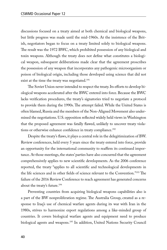discussions focused on a treaty aimed at both chemical and biological weapons, but little progress was made until the mid-1960s. At the insistence of the British, negotiators began to focus on a treaty limited solely to biological weapons. The result was the 1972 BWC, which prohibited possession of any biological and toxin weapons. Although the treaty does not define what constitutes a biological weapon, subsequent deliberations made clear that the agreement proscribes the possession of any weapon that incorporates any pathogenic microorganism or poison of biological origin, including those developed using science that did not exist at the time the treaty was negotiated.<sup>191</sup>

The Soviet Union never intended to respect the treaty. Its efforts to develop biological weapons accelerated after the BWC entered into force. Because the BWC lacks verification procedures, the treaty's signatories tried to negotiate a protocol to provide them during the 1990s. The attempt failed. While the United States is often blamed, Russia and the members of the Non-Aligned Movement also undermined the negotiations. U.S. opposition reflected widely held views in Washington that the proposed agreement was fatally flawed, unlikely to uncover treaty violations or otherwise enhance confidence in treaty compliance.<sup>192</sup>

Despite the treaty's flaws, it plays a central role in the delegitimization of BW. Review conferences, held every 5 years since the treaty entered into force, provide an opportunity for the international community to reaffirm its continued importance. At those meetings, the states' parties have also concurred that the agreement comprehensively applies to new scientific developments. As the 2006 conference reported, the treaty "applies to all scientific and technological developments in the life sciences and in other fields of science relevant to the Convention."193 The failure of the 2016 Review Conference to reach agreement has generated concerns about the treaty's future.194

Preventing countries from acquiring biological weapons capabilities also is a part of the BW nonproliferation regime. The Australia Group, created as a response to Iraq's use of chemical warfare agents during its war with Iran in the 1980s, strives to harmonize export regulations among a like-minded group of countries. It covers biological warfare agents and equipment need to produce biological agents and weapons.<sup>195</sup> In addition, United Nations Security Council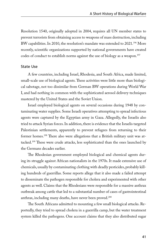Resolution 1540, originally adopted in 2004, requires all UN member states to prevent terrorists from obtaining access to weapons of mass destruction, including BW capabilities. In 2010, the resolution's mandate was extended to 2021.<sup>196</sup> More recently, scientific organizations supported by national governments have created codes of conduct to establish norms against the use of biology as a weapon.<sup>197</sup>

#### State Use

A few countries, including Israel, Rhodesia, and South Africa, made limited, small-scale use of biological agents. These activities were little more than biological sabotage, not too dissimilar from German BW operations during World War I, and had nothing in common with the sophisticated aerosol delivery techniques mastered by the United States and the Soviet Union.

Israel employed biological agents on several occasions during 1948 by contaminating water supplies. Some Israeli operatives attempting to spread infectious agents were captured by the Egyptian army in Gaza. Allegedly, the Israelis also tried to attack Syrian forces. In addition, there is evidence that the Israelis targeted Palestinian settlements, apparently to prevent refugees from returning to their former homes.<sup>198</sup> There also were allegations that a British military unit was attacked.199 These were crude attacks, less sophisticated than the ones launched by the Germans decades earlier.

The Rhodesian government employed biological and chemical agents during its struggle against African nationalists in the 1970s. It made extensive use of chemicals, usually by contaminating clothing with deadly pesticides, probably killing hundreds of guerrillas. Some reports allege that it also made a failed attempt to disseminate the pathogen responsible for cholera and experimented with other agents as well. Claims that the Rhodesians were responsible for a massive anthrax outbreak among cattle that led to a substantial number of cases of gastrointestinal anthrax, including many deaths, have never been proved.<sup>200</sup>

The South Africans admitted to mounting a few small biological attacks. Reportedly, they tried to spread cholera in a guerrilla camp, but the water treatment system killed the pathogens. One account claims that they also distributed sugar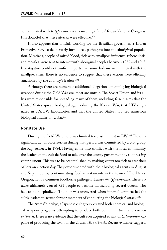contaminated with *B. typhimurium* at a meeting of the African National Congress. It is doubtful that these attacks were effective.<sup>201</sup>

It also appears that officials working for the Brazilian government's Indian Protective Service deliberately introduced pathogens into the aboriginal population. Mestizos, people of mixed blood, sick with smallpox, influenza, tuberculosis, and measles, were sent to interact with aboriginal peoples between 1957 and 1963. Investigators could not confirm reports that some Indians were infected with the smallpox virus. There is no evidence to suggest that these actions were officially sanctioned by the country's leaders.<sup>202</sup>

Although there are numerous additional allegations of employing biological weapons during the Cold War era, most are untrue. The Soviet Union and its allies were responsible for spreading many of them, including false claims that the United States spread biological agents during the Korean War, that HIV originated in U.S. BW laboratories, and that the United States mounted numerous biological attacks on Cuba.<sup>203</sup>

#### Nonstate Use

During the Cold War, there was limited terrorist interest in BW.204 The only significant act of bioterrorism during that period was committed by a cult group, the Rajneeshees, in 1984. Having come into conflict with the local community, the leaders of the cult decided to take over the county government by suppressing voter turnout. This was to be accomplished by making voters too sick to cast their ballots on election day. They experimented with their biological agents in August and September by contaminating food at restaurants in the town of The Dalles, Oregon, with a common foodborne pathogen, *Salmonella typhimurium.* These attacks ultimately caused 751 people to become ill, including several dozens who had to be hospitalized. The plot was uncovered when internal conflicts led the cult's leaders to accuse former members of conducting the biological attack.<sup>205</sup>

The Aum Shinrikyo, a Japanese cult group, created both chemical and biological weapons programs, attempting to produce both botulinum toxin and *Bacillus anthracis*. There is no evidence that the cult ever acquired strains of *C. botulinum* capable of producing the toxin or the virulent *B. anthracis*. Recent evidence suggests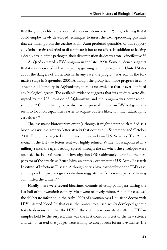that the group deliberately obtained a vaccine strain of *B. anthracis*, believing that it could employ newly developed techniques to insert the toxin-producing plasmids that are missing from the vaccine strain. Aum produced quantities of this supposedly lethal strain and tried to disseminate it but to no effect. In addition to lacking a deadly strain of the pathogen, their dissemination device was totally ineffective.<sup>206</sup>

Al Qaeda created a BW program in the late 1990s. Some evidence suggests that it was motivated at least in part by growing commentary in the United States about the dangers of bioterrorism. In any case, the program was still in the formative stage in September 2001. Although the group had made progress in constructing a laboratory in Afghanistan, there is no evidence that it ever obtained any biological agents. The available evidence suggests that its activities were disrupted by the U.S. invasion of Afghanistan, and the program was never reconstituted.<sup>207</sup> Other jihadi groups also have expressed interest in BW but generally seem to focus on capabilities easier to acquire but less likely to inflict catastrophic casualties.208

The last major bioterrorism event (although it might better be classified as a biocrime) was the anthrax letter attacks that occurred in September and October 2001. The letters targeted three news outlets and two U.S. Senators. The *B. anthracis* in the last two letters sent was highly refined. While not weaponized in a military sense, the agent readily spread through the air when the envelopes were opened. The Federal Bureau of Investigation (FBI) ultimately identified the perpetrator of the attacks as Bruce Ivins, an anthrax expert at the U.S. Army Research Institute of Infectious Disease. Although critics have cast doubt on the FBI's case, an independent psychological evaluation suggests that Ivins was capable of having committed the crimes.209

Finally, there were several biocrimes committed using pathogens during the last half of the twentieth century. Most were relatively minor. A notable case was the deliberate infection in the early 1990s of a woman by a Louisiana doctor with HIV-infected blood. In that case, the prosecutors used newly developed genetic tests to demonstrate that the HIV in the victim was consistent with the HIV in samples held by the suspect. This was the first courtroom test of the new science and demonstrated that judges were willing to accept such forensic evidence. The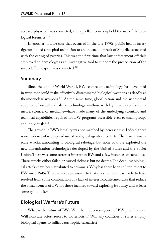accused physician was convicted, and appellate courts upheld the use of the biological forensics.<sup>210</sup>

In another notable case that occurred in the late 1990s, public health investigators linked a hospital technician to an unusual outbreak of Shigella associated with the eating of pastries. This was the first time that law enforcement officials employed epidemiology as an investigative tool to support the prosecution of the suspect. The suspect was convicted.<sup>211</sup>

### Summary

Since the end of World War II, BW science and technology has developed in ways that could make effectively disseminated biological weapons as deadly as thermonuclear weapons.<sup>212</sup> At the same time, globalization and the widespread adoption of so-called dual-use technologies—those with legitimate uses for commerce, science, or medicine—have made many of the underlying scientific and technical capabilities required for BW programs accessible even to small groups and individuals.213

The growth in BW's lethality was not matched by increased use. Indeed, there is no evidence of widespread use of biological agents since 1945. There were smallscale attacks, amounting to biological sabotage, but none of those exploited the new dissemination technologies developed by the United States and the Soviet Union. There was some terrorist interest in BW and a few instances of actual use. These attacks either failed or caused sickness but no deaths. The deadliest biological attacks have been attributed to criminals. Why has there been so little resort to BW since 1945? There is no clear answer to that question, but it is likely to have resulted from some combination of a lack of interest, countermeasures that reduce the attractiveness of BW for those inclined toward exploring its utility, and at least some good luck.<sup>214</sup>

## Biological Warfare's Future

What is the future of BW? Will there be a resurgence of BW proliferation? Will nonstate actors resort to bioterrorism? Will any countries or states employ biological agents to inflict catastrophic casualties?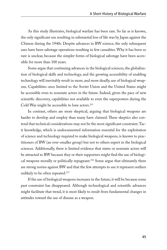As this study illustrates, biological warfare has been rare. So far as is known, the only significant use resulting in substantial loss of life was by Japan against the Chinese during the 1940s. Despite advances in BW science, the only subsequent uses have been sabotage operations resulting in few casualties. Why it has been so rare is unclear, because the simpler forms of biological sabotage have been accessible for more than 100 years.

Some argue that continuing advances in the biological sciences, the globalization of biological skills and technology, and the growing accessibility of enabling technology will inevitably result in more, and more deadly, use of biological weapons. Capabilities once limited to the Soviet Union and the United States might be accessible even to nonstate actors in the future. Indeed, given the pace of new scientific discovery, capabilities not available to even the superpowers during the Cold War might be accessible to lone actors.215

In contrast, others are more skeptical, arguing that biological weapons are harder to develop and employ than many have claimed. These skeptics also contend that technical considerations may not be the most significant constraint. Tacit knowledge, which is undocumented information essential for the exploitation of science and technology required to make biological weapons, is known to practitioners of BW (an ever-smaller group) but not to others expert in the biological sciences. Additionally, there is limited evidence that states or nonstate actors will be attracted to BW because they or their supporters might find the use of biological weapons morally or politically repugnant.<sup>216</sup> Some argue that ultimately there are strong norms against BW and that the few attempts to use it represent outliers unlikely to be often repeated.<sup>217</sup>

If the use of biological weapons increases in the future, it will be because some past constraint has disappeared. Although technological and scientific advances might facilitate that trend, it is most likely to result from fundamental changes in attitudes toward the use of disease as a weapon.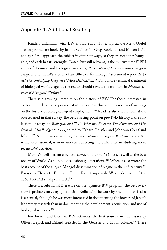## Appendix 1. Additional Reading

Readers unfamiliar with BW should start with a topical overview. Useful starting points are books by Jeanne Guillemin, Greg Koblentz, and Milton Leitenberg.<sup>218</sup> All approach the subject in different ways, so they are not interchangeable, and each has its strengths. Dated, but still relevant, is the multivolume SIPRI study of chemical and biological weapons, *The Problem of Chemical and Biological Weapons*, and the BW section of an Office of Technology Assessment report, *Technologies Underlying Weapons of Mass Destruction*. 219 For a more technical treatment of biological warfare agents, the reader should review the chapters in *Medical Aspects of Biological Warfare*. 220

There is a growing literature on the history of BW. For those interested in exploring in detail, one possible starting point is this author's review of writings on the history of biological agent employment.221 Readers also should look at the sources used in that survey. The best starting point on pre-1945 history is the collection of essays in *Biological and Toxin Weapons: Research, Development, and Use from the Middle Ages to 1945*, edited by Erhard Geissler and John van Courtland Moon.222 A companion volume, *Deadly Cultures: Biological Weapons since 1945*, while also essential, is more uneven, reflecting the difficulties in studying more recent BW activities.<sup>223</sup>

Mark Wheelis has an excellent survey of the pre-1914 era, as well as the best review of World War I biological sabotage operations.224 Wheelis also wrote the best account of the alleged Mongol dissemination of plague in the 14<sup>th</sup> century.<sup>225</sup> Essays by Elizabeth Fenn and Philip Ranlet supersede Wheelis's review of the 1763 Fort Pitt smallpox attack.<sup>226</sup>

There is a substantial literature on the Japanese BW program. The best overview is probably an essay by Tsuneishi Keiichi.227 The work by Sheldon Harris also is essential, although he was more interested in documenting the horrors of Japan's laboratory research than in documenting the development, acquisition, and use of biological weapons.<sup>228</sup>

For French and German BW activities, the best sources are the essays by Olivier Lepick and Erhard Geissler in the Geissler and Moon volume.<sup>229</sup> There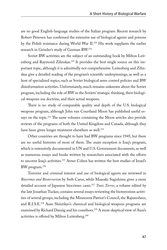are no good English-language studies of the Italian program. Recent research by Robert Petersen has confirmed the extensive use of biological agents and poisons by the Polish resistance during World War II.230 His work supplants the earlier research in Geissler's study of German BW.231

Soviet BW activities are the subject of an outstanding book by Milton Leitenberg and Raymond Zilinskas.<sup>232</sup> It provides the best single source on this important topic, although it is admittedly not comprehensive. Leitenberg and Zilinskas give a detailed reading of the program's scientific underpinnings, as well as a host of specialized topics, such as Soviet biological arms control policies and BW disinformation activities. Unfortunately, much remains unknown about the Soviet program, including the role of BW in the Soviets' strategic thinking, their biological weapons use doctrine, and their actual weapons.

There is no study of comparable quality and depth of the U.S. biological weapons program, although John van Courtland Moon has published useful essays on the topic.<sup>233</sup> The same volumes containing the Moon articles also provide reviews of the programs of both the United Kingdom and Canada, although they have been given longer treatment elsewhere as well.<sup>234</sup>

Other countries are thought to have had BW programs since 1945, but there are no useful histories of most of them. The main exception is Iraq's program, which is extensively documented in UN and U.S. Government documents, as well as numerous essays and books written by researchers associated with the efforts to uncover Iraq's activities.<sup>235</sup> Avner Cohen has written the best studies of Israel's BW program.236

Terrorist and criminal interest and use of biological agents are reviewed in *Biocrimes and Bioterrorism* by Seth Carus, while Maasaki Sugishima gives a more detailed account of Japanese biocrimes cases.237 *Toxic Terror*, a volume edited by the late Jonathan Tucker, contains several essays reviewing the bioterrorism activities of several groups, including the Minnesota Patriot's Council, the Rajneeshees, and R.I.S.E.238 Aum Shinrikyo's chemical and biological weapons programs are examined by Richard Danzig and his coauthors.<sup>239</sup> A more skeptical view of Aum's activities is offered by Milton Leitenberg.<sup>240</sup>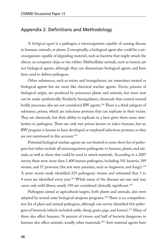# Appendix 2. Definitions and Methodology

A *biological agent* is a pathogen, a microorganism capable of causing disease in humans, animals, or plants. Conceptually, a biological agent also could be a microorganism capable of degrading materiel, such as bacteria that might attack the silicon on computer chips or tire rubber. Multicellular animals, such as insects, are not biological agents, although they can disseminate biological agents and have been used to deliver pathogens.

Other substances, such as toxins and bioregulators, are sometimes treated as biological agents but are more like chemical warfare agents. *Toxins*, poisons of biological origin, are produced by poisonous plants and animals, but most now can be made synthetically. Similarly, bioregulators, chemicals that control normal bodily processes, also are not considered BW agents.<sup>241</sup> There is a third category of substance, prions, which are infectious proteins that can replicate in their victim. They are chemicals, but their ability to replicate in a host gives them some similarities to pathogens. There are only two prions known to infect humans, but no BW program is known to have developed or employed infectious proteins, so they are not mentioned in this account.<sup>242</sup>

Potential biological warfare agents are not limited to some short list of pathogens but rather include all microorganisms pathogenic to humans, plants, and animals, as well as those that could be used to attack materials. According to a 2007 survey, there were more than 1,400 human pathogens, including 541 bacteria, 189 viruses, and 57 protozoa (the rest were parasites, such as ringworm, and fungi).243 A more recent study identified 219 pathogenic viruses and estimated that 3 to 4 more are identified every year.<sup>244</sup> While many of the diseases are rare and may cause only mild illness, nearly 350 are considered clinically significant.<sup>245</sup>

Pathogens aimed at agricultural targets, both plants and animals, also were adopted by several state biological weapons programs.<sup>246</sup> There is no comprehensive list of plant and animal pathogens, although one survey identified 616 pathogens of livestock (which included cattle, sheep, goats, pigs, and horses).247 Many of these also affect humans: 76 percent of viruses and half of bacteria dangerous to humans also affect animals, usually other mammals.<sup>248</sup> Anti-material agents have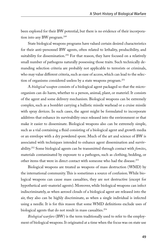been explored for their BW potential, but there is no evidence of their incorporation into any BW program.<sup>249</sup>

State biological weapons programs have valued certain desired characteristics for their anti-personnel BW agents, often related to lethality, producibility, and suitability for dissemination.<sup>250</sup> For that reason, they have focused on a relatively small number of pathogens naturally possessing those traits. Such technically demanding selection criteria are probably not applicable to terrorists or criminals, who may value different criteria, such as ease of access, which can lead to the selection of organisms considered useless by a state weapons program.251

A *biological weapon* consists of a biological agent packaged so that the microorganism can do harm, whether to a person, animal, plant, or materiel. It consists of the agent and some delivery mechanism. Biological weapons can be extremely complex, such as a bomblet carrying a ballistic missile warhead or a cruise missile with spray devices. In such cases, the agent might be formulated to incorporate additives that enhance its survivability once released into the environment or that make it easier to disseminate. Biological weapons also can be extremely simple, such as a vial containing a fluid consisting of a biological agent and growth media or an envelope with a dry powdered spore. Much of the art and science of BW is associated with techniques intended to enhance agent dissemination and survivability.252 Some biological agents can be transmitted through contact with *fomites*, materials contaminated by exposure to a pathogen, such as clothing, bedding, or other items that were in direct contact with someone who had the disease.<sup>253</sup>

Biological weapons are treated as weapons of mass destruction (WMD) by the international community. This is sometimes a source of confusion. While biological weapons can cause mass casualties, they are not destructive (except for hypothetical anti-materiel agents). Moreover, while biological weapons can infect indiscriminately, as when aerosol clouds of a biological agent are released into the air, they also can be highly discriminate, as when a single individual is infected using a needle. It is for this reason that some WMD definitions exclude uses of biological agents that do not result in mass casualties.254

*Biological warfare* (BW) is the term traditionally used to refer to the employment of biological weapons. It originated at a time when the focus was on state use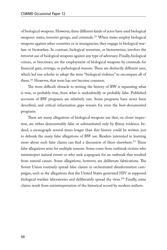of biological weapons. However, three different kinds of actor have used biological weapons: states, terrorist groups, and criminals.<sup>255</sup> When states employ biological weapons against other countries or in insurgencies, they engage in biological warfare or biowarfare. In contrast, biological terrorism, or bioterrorism, involves the terrorist use of biological weapons against any type of adversary. Finally, biological crimes, or biocrimes, are the employment of biological weapons by criminals for financial gain, revenge, or pathological reasons. These are distinctly different uses, which led one scholar to adopt the term "biological violence" to encompass all of them.256 However, that term has not become common.

The most difficult obstacle to writing the history of BW is separating what is true, or probably true, from what is undoubtedly or probably false. Published accounts of BW programs are relatively rare. Some programs have never been described, and critical information gaps remain for even the best-documented programs.

There are many allegations of biological weapons use that, on closer inspection, are either demonstrably false or substantiated only by flimsy evidence. Indeed, a monograph several times longer than this history could be written just to debunk the many false allegations of BW use. Readers interested in learning more about such false claims can find a discussion of them elsewhere.<sup>257</sup> These false allegations arise for multiple reasons. Some come from outbreak victims who misinterpret natural events or who seek scapegoats for an outbreak that resulted from natural causes. Some allegations, however, are deliberate fabrications. The Soviet Union routinely spread false claims in orchestrated disinformation campaigns, such as the allegations that the United States generated HIV in supposed biological warfare laboratories and deliberately spread the virus.<sup>258</sup> Finally, some claims result from misinterpretation of the historical record by modern authors.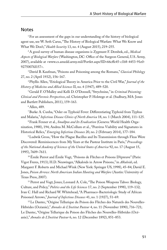### Notes

<sup>1</sup> For an assessment of the gaps in our understanding of the history of biological agent use, see W. Seth Carus, "The History of Biological Warfare: What We Know and What We Don't," *Health Security* 13, no. 4 (August 2015), 219–255.

2 A good survey of human disease organisms is Zygmunt F. Dembek, ed., *Medical Aspects of Biological Warfare* (Washington, DC: Office of the Surgeon General, U.S. Army, 2007), available at <www.cs.amedd.army.mil/Portlet.aspx?ID=66cffe45-c1b8-4453-91e0- 9275007fd157>.

3 David B. Kaufman, "Poisons and Poisoning among the Romans," *Classical Philology* 27, no. 2 (April 1932), 156–167.

4 Phyllis Allen, "Etiological Theory in America Prior to the Civil War," *Journal of the History of Medicine and Allied Sciences* II, no. 4 (1947), 489–520.

5 Gerald F. O'Malley and Kelli D. O'Donnell, "Strychnine," in *Criminal Poisoning: Clinical and Forensic Perspectives*, ed. Christopher P. Holstege et al. (Sudbury, MA: Jones and Bartlett Publishers, 2011), 159–163.

6 Allen, 489.

7 Burke A. Cunha, "Osler on Typhoid Fever: Differentiating Typhoid from Typhus and Malaria," *Infectious Disease Clinics of North America* 18, no. 1 (March 2004), 111–125.

8 Frank Fenner et al., *Smallpox and Its Eradication* (Geneva: World Health Organization, 1988), 194; Andrea M. McCollum et al., "Poxvirus Viability and Signatures in Historical Relics," *Emerging Infectious Diseases* 20, no. 2 (February 2014), 177–184.

9 Ludwik Gross, "How the Plague Bacillus and Its Transmission through Fleas Were Discovered: Reminiscences from My Years at the Pasteur Institute in Paris," *Proceedings of the National Academy of Sciences of the United States of America* 92, no. 17 (August 15, 1995), 7609–7611.

<sup>10</sup> Émile Perrot and Émile Vogt, "Poisons de Flèches et Poisons D'épreuve" (Paris: Vigot Freres, 1913); H.D. Neuwinger, "Alkaloids in Arrow Poisons," in *Alkaloids*, ed. Margaret F. Roberts and Michael Wink (New York: Springer US, 1998), 45–84; David E. Jones, *Poison Arrows: North American Indian Hunting and Warfare* (Austin: University of Texas Press, 2007).

<sup>11</sup> Perrot and Vogt; Jones; Leonard A. Cole, "The Poison Weapons Taboo: Biology, Culture, and Policy," *Politics and the Life Sciences* 17, no. 2 (September 1998), 119–132; Ivan C. Hall and Richard W. Whitehead, "A Pharmaco-Bacteriologic Study of African Poisoned Arrows," *Journal of Infectious Diseases* 41, no. 1 (1927), 51–69.

<sup>12</sup> Le Dantec, "Origine Tellurique du Poison des Flèches des Naturels des Nouvelles-Hébrides (Océanie)," *Annales de L'Institut Pasteur* 4, no. 11 (November 1890), 716–721; Le Dantec, "Origine Tellurique du Poison des Flèches des Nouvelles-Hébrides (Océanie)," *Annales de L'Institut Pasteur* 6, no. 12 (December 1892), 851–853.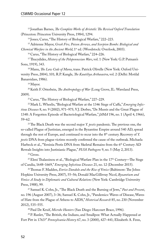13 Jonathan Barnes, *The Complete Works of Aristotle: The Revised Oxford Translation* (Princeton: Princeton University Press, 1984), 1294.

14 Jones; Carus, "The History of Biological Warfare," 222–223.

15 Adrienne Mayor, *Greek Fire, Poison Arrows, and Scorpion Bombs: Biological and Chemical Warfare in the Ancient World*, 1<sup>st</sup> ed. (Woodstock: Overlook, 2003).

16 Carus, "The History of Biological Warfare," 224–226.

17 Thucydides, *History of the Peloponnesian Wars*, vol. 1 (New York: G.P. Putnam's Sons, 1919), 343.

18 Manu, *The Law Code of Manu*, trans. Patrick Olivelle (New York: Oxford University Press, 2004), 101; R.P. Kangle, *The Kautiliya Arthasastra*, vol. 2 (Delhi: Motilal Banarsidass, 1986).

19 Mayor.

20 Keith F. Otterbein, *The Anthropology of War* (Long Grove, IL: Waveland Press, 2009).

21 Carus, "The History of Biological Warfare," 227–229.

22 Mark L. Wheelis, "Biological Warfare at the 1346 Siege of Caffa," *Emerging Infectious Diseases* 8, no. 9 (2002), 971–975; V.J. Derbes, "De Mussis and the Great Plague of 1348: A Forgotten Episode of Bacteriological Warfare," *JAMA* 196, no. 1 (April 4, 1966), 59–62.

23 The Black Death was the second major *Y. pestis* pandemic. The previous one, the so-called Plague of Justinian, emerged in the Byzantine Empire around 540 AD, spread through the rest of Europe, and continued to recur into the 8<sup>th</sup> century. Recovery of *Y*. *pestis* DNA from plague victims recently confirmed the cause of the outbreak. Michaela Harbeck et al., "Yersinia Pestis DNA from Skeletal Remains from the 6<sup>th</sup> Century AD Reveals Insights into Justinianic Plague," *PLOS Pathogens* 9, no. 5 (May 2, 2013).

 $^{24}$  Gross.

<sup>25</sup> Eleni Thalassinou et al., "Biological Warfare Plan in the 17<sup>th</sup> Century—The Siege of Candia, 1648–1669," *Emerging Infectious Diseases* 21, no. 12 (December 2015).

26 Thomas F. Madden, *Enrico Dandolo and the Rise of Venice* (Baltimore: The Johns Hopkins University Press, 2007), 55–56; Donald MacGillivray Nicol, *Byzantium and Venice: A Study in Diplomatic and Cultural Relations* (New York: Cambridge University Press, 1988), 99.

27 Samuel K. Cohn, Jr., "The Black Death and the Burning of Jews," *Past and Present*, no. 196 (August 2007), 3–36; Samuel K. Cohn, Jr., "Pandemics: Waves of Disease, Waves of Hate from the Plague of Athens to AIDS," *Historical Research* 85, no. 230 (November 2012), 535–555.

28 Paul De Kruif, *Microbe Hunters* (San Diego: Harcourt Brace, 1996).

29 P. Ranlet, "The British, the Indians, and Smallpox: What Actually Happened at Fort Pitt in 1763?" *Pennsylvania History* 67, no. 3 (2000), 427–441; Elizabeth A. Fenn,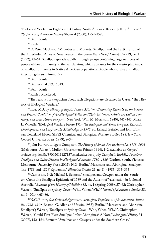"Biological Warfare in Eighteenth-Century North America: Beyond Jeffery Amherst," *The Journal of American History* 86, no. 4 (2000), 1552–1580.

30 Fenn; Ranlet.

31 Ranlet.

32 D. Peter MacLeod, "Microbes and Muskets: Smallpox and the Participation of the Amerindian Allies of New France in the Seven Years' War," *Ethnohistory* 39, no. 1 (1992), 42–64. Smallpox spreads rapidly through groups containing large numbers of people without immunity to the variola virus, which accounts for the catastrophic impact of smallpox outbreaks in Native American populations. People who survive a smallpox infection gain such immunity.

33 Fenn; Ranlet.

34 Fenner et al., 193, 1343.

<sup>35</sup> Fenn; Ranlet.

36 Ranlet; MacLeod.

<sup>37</sup> The reasons for skepticism about such allegations are discussed in Carus, "The History of Biological Warfare."

38 Isaac McCoy, *History of Baptist Indian Missions: Embracing Remarks on the Former and Present Condition of the Aboriginal Tribes and Their Settlement within the Indian Territory, and Their Future Prospects* (New York: Wm. M. Morrison, 1840), 441–443; Mark L. Wheelis, "Biological Warfare before 1914," in *Biological and Toxin Weapons: Research, Development, and Use from the Middle Ages to 1945*, ed. Erhard Geissler and John Ellis van Courtland Moon, SIPRI Chemical and Biological Warfare Studies 18 (New York: Oxford University Press, 1999), 8–34.

39 John Howard Lidgett Cumpston, *The History of Small-Pox in Australia, 1788–1908* (Melbourne: Albert J. Mullett, Government Printer, 1914), 1–2, available at <http:// archive.org/details/39002011127157.med.yale.edu>; Judy Campbell, *Invisible Invaders: Smallpox and Other Diseases in Aboriginal Australia, 1780–1880* (Carlton South, Victoria: Melbourne University Press, 2002); N.G. Butlin, "Macassans and Aboriginal Smallpox: The '1789' and '1829' Epidemics," *Historical Studies* 21, no. 84 (1985), 315–335.

40 Cumpston, 1–2; Michael J. Bennett, "Smallpox and Cowpox under the Southern Cross: The Smallpox Epidemic of 1789 and the Advent of Vaccination in Colonial Australia," *Bulletin of the History of Medicine* 83, no. 1 (Spring 2009), 37–62; Christopher Warren, "Smallpox at Sydney Cove—Who, When, Why?" *Journal of Australian Studies* 38, no. 1 (2014), 68–86.

41 N.G. Butlin, *Our Original Aggression: Aboriginal Populations of Southeastern Australia, 1788–1850* (Boston: G. Allen and Unwin, 1983); Butlin, "Macassans and Aboriginal Smallpox"; Warren, "Smallpox at Sydney Cove—Who, When, Why?"; Christopher Warren, "Could First Fleet Smallpox Infect Aborigines? A Note," *Aboriginal History* 31 (2007), 152–164; Bennett, "Smallpox and Cowpox under the Southern Cross."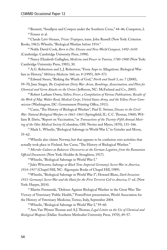42 Bennett, "Smallpox and Cowpox under the Southern Cross," 44–46; Cumpston, 2. 43 Fenner et al.

44 Claude Lévi-Strauss, *Tristes Tropiques*, trans. John Russell (New York: Criterion Books, 1961); Wheelis, "Biological Warfare before 1914."

45 Noble David Cook, *Born to Die: Disease and New World Conquest, 1492–1650* (Cambridge: Cambridge University Press, 1998).

46 Nancy Elizabeth Gallagher, *Medicine and Power in Tunisia, 1780–1900* (New York: Cambridge University Press, 1983), 30.

47 A.G. Robertson and L.J. Robertson, "From Asps to Allegations: Biological Warfare in History," *Military Medicine* 160, no. 8 (1995), 369–373.

48 Edward Steers, "Risking the Wrath of God," *North and South* 3, no. 7 (2000), 59–70; Jane Singer, *The Confederate Dirty War: Arson, Bombings, Assassination, and Plots for Chemical and Germ Attacks on the Union* ( Jefferson, NC: McFarland and Co., 2005).

49 Robert Latham Owen, *Yellow Fever; a Compilation of Various Publications. Results of the Work of Maj. Walter Reed, Medical Corps, United States Army, and the Yellow Fever Commission* (Washington, DC: Government Printing Office, 1911).

50 Carus, "The History of Biological Warfare"; Paul E. Steiner, *Disease in the Civil War: Natural Biological Warfare in 1861–1865* (Springfield, IL: C.C. Thomas, 1968); William B. Davis, "Report on Vaccination," in *Transactions of the Twenty-Fifth Annual Meeting of the Ohio Medical Society* (Columbus, OH: Nevins and Myers, 1870), 131–166.

51 Mark L. Wheelis, "Biological Sabotage in World War I," in Geissler and Moon, 35–62.

52 Wheelis also claims Norway, but that appears to be confusion over activities that actually took place in Finland. See Carus, "The History of Biological Warfare."

<sup>53</sup>*Microbe-Culture at Bukarest: Discoveries at the German Legation, from the Rumanian Official Documents* (New York: Hodder & Stoughton, 1917).

54 Wheelis, "Biological Sabotage in World War I."

55 Jules Witcover, *Sabotage at Black Tom: Imperial Germany's Secret War in America, 1914–1917* (Chapel Hill, NC: Algonquin Books of Chapel Hill, 1989).

56 Wheelis, "Biological Sabotage in World War I"; Howard Blum, *Dark Invasion:*  1915: Germany's Secret War and the Hunt for the First Terrorist Cell in America, 1<sup>st</sup> ed. (New York: Harper, 2014).

57 Martin Furmanski, "Defense Against Biological Warfare in the Great War: The Victory of Veterinary 'Public Health,'" PowerPoint presentation, World Association for the History of Veterinary Medicine, Torino, Italy, September 2004.

58 Wheelis, "Biological Sabotage in World War I," 59–60.

59 Ann Van Wynen Thomas and A.J. Thomas, *Legal Limits on the Use of Chemical and Biological Weapons* (Dallas: Southern Methodist University Press, 1970), 49–57.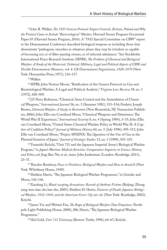60 John R. Walker, *The 1925 Geneva Protocol: Export Controls, Britain, Poland and Why the Protocol Came to Include "Bacteriological" Warfare*, Harvard Sussex Program Occasional Paper 05 (Harvard Sussex Program, 2016). A "1932 Special Committee on CBW" report to the Disarmament Conference described biological weapons as including those that disseminate "pathogenic microbes in whatever phase they may be (virulent or capable of becoming so), or of filter-passing viruses, or of infected substances." See Stockholm International Peace Research Institute (SIPRI), *The Problem of Chemical and Biological Warfare: A Study of the Historical, Technical, Military, Legal and Political Aspects of CBW, and Possible Disarmament Measures,* vol. 4: *CB Disarmament Negotiations, 1920–1970* (New York: Humanities Press, 1971), 116–117.

61 Walker.

62 SIPRI; John Norton Moore, "Ratification of the Geneva Protocol on Gas and Bacteriological Warfare: A Legal and Political Analysis," *Virginia Law Review* 58, no. 3 (1972), 420–509.

63 J.P. Perry Robinson, "Chemical Arms Control and the Assimilation of Chemical Weapons," *International Journal* 36, no. 3 (Summer 1981), 515–534; Frederic Joseph Brown, *Chemical Warfare: A Study in Restraints* (New Brunswick, NJ: Transaction Publishers, 2006); John Ellis van Courtland Moon, "Chemical Weapons and Deterrence: The World War II Experience," *International Security* 8, no. 4 (Spring 1984), 3–35; John Ellis van Courtland Moon, "United States Chemical Warfare Policy in World War II: A Captive of Coalition Policy?" *Journal of Military History* 60, no. 3 ( July 1996), 495–511; John Ellis van Courtland Moon, "Project SPHINX: The Question of the Use of Gas in the Planned Invasion of Japan," *Journal of Strategic Studies* 12, no. 3 (1989), 303–323.

64 Tsuneishi Keiichi, "Unit 731 and the Japanese Imperial Army's Biological Warfare Program," in *Japan's Wartime Medical Atrocities: Comparative Inquiries in Science, History, and Ethics*, ed. Jing-Bao Nie et al., trans. John Junkerman (London: Routledge, 2011), 23–31.

65 Theodor Rosebury, *Peace or Pestilence: Biological Warfare and How to Avoid It* (New York: Whittlesey House, 1949).

66 Sheldon Harris, "The Japanese Biological Warfare Programme," in Geissler and Moon, 142–146.

67 Xiaofang Li, *Blood-weeping Accusations: Records of Anthrax Victims* (Beijing: Zhong yang wen xian chu ban she, 2005); Sheldon H. Harris, *Factories of Death: Japanese Biological Warfare, 1932–1945, and the American Cover-Up*, rev. ed. (New York: Routledge, 2002); Keiichi.

68 James Yin and Weiwei Fan, *The Rape of Biological Warfare* (San Francisco: Northpole Light Publishing House, 2000), 286; Harris, "The Japanese Biological Warfare Programme."

69 Hal Gold, *Unit 731 Testimony* (Boston: Tuttle, 1996), 64–67; Keiichi.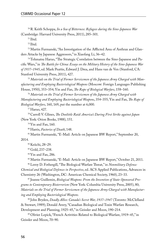70 R. Keith Schoppa, *In a Sea of Bitterness: Refugees during the Sino-Japanese War* (Cambridge: Harvard University Press, 2011), 285–301.

71 Ibid.

 $72$  Ibid.

73 Martin Furmanski, "An Investigation of the Afflicted Area of Anthrax and Glanders Attacks by Japanese Aggressors," in Xiaofang Li, 36–42.

74 Tohmatsu Haruo, "The Strategic Correlation between the Sino-Japanese and Pacific Wars," in *The Battle for China: Essays on the Military History of the Sino-Japanese War of 1937–1945*, ed. Mark Peattie, Edward J. Drea, and Hans van de Ven (Stanford, CA: Stanford University Press, 2011), 427.

75 *Materials on the Trial of Former Servicemen of the Japanese Army Charged with Manufacturing and Employing Bacteriological Weapons* (Moscow: Foreign Languages Publishing House, 1950), 353–354; Yin and Fan, *The Rape of Biological Warfare*, 158–160.

<sup>76</sup>*Materials on the Trial of Former Servicemen of the Japanese Army Charged with Manufacturing and Employing Bacteriological Weapons*, 354–355; Yin and Fan, *The Rape of Biological Warfare*, 160, 169, put the number at 6,000.

77 Haruo, 427.

78 Carroll V. Glines, *The Doolittle Raid: America's Daring First Strike against Japan* (New York: Orion Books, 1988), 151.

79 Yin and Fan, 160.

80 Harris, *Factories of Death*, 148.

81 Martin Furmanski, "E-Mail: Article on Japanese BW Report," September 20,

2014.

82 Keiichi, 28–29.

83 Gold, 237–238.

84 Yin and Fan, 286.

85 Martin Furmanski, "E-Mail: Article on Japanese BW Report," October 21, 2011.

86 Leroy D. Fothergill, "The Biological Warfare Threat," in *Nonmilitary Defense: Chemical and Biological Defenses in Perspective*, ed. ACS Applied Publications, Advances in Chemistry 26 (Washington, DC: American Chemical Society, 1960), 23–33.

87 Jeanne Guillemin, *Biological Weapons: From the Invention of State-Sponsored Programs to Contemporary Bioterrorism* (New York: Columbia University Press, 2005), 80; *Materials on the Trial of Former Servicemen of the Japanese Army Charged with Manufacturing and Employing Bacteriological Weapons.*

88 John Bryden, *Deadly Allies: Canada's Secret War, 1937–1947* (Toronto: McClelland & Stewart, 1989); Donald Avery, "Canadian Biological and Toxin Warfare Research, Development and Planning, 1925–45," in Geissler and Moon, 190–214.

89 Olivier Lepick, "French Activities Related to Biological Warfare, 1919–45," in Geissler and Moon, 70–90.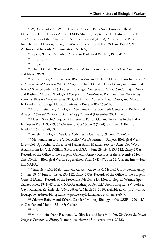90 W.J. Cromartie, "B.W. Intelligence Report—Paris Area, European Theater of Operations, United States Army, ALSOS Mission," September 18, 1944, RG 112, Entry 295A, Records of the Office of the Surgeon General (Army), Records of the Preventive Medicine Division, Biological Warfare Specialized Files, 1941–47, Box 12, National Archives and Records Administration (NARA).

<sup>91</sup> Lepick, "French Activities Related to Biological Warfare, 1919-45."

92 Ibid., 86, 88–89.

93 Ibid., 70.

94 Erhard Geissler, "Biological Warfare Activities in Germany, 1923–45," in Geissler and Moon, 96, 98.

<sup>95</sup> Gábor Faludi, "Challenges of BW Control and Defense During Arms Reduction," in *Conversion of Former BTW Facilities*, ed. Erhard Geissler, Lajos Gazsó, and Ernst Buder, NATO Science Series 21 (Dordrecht: Springer Netherlands, 1998), 67–70; Lajos Rózsa and Kathryn Nixdorff, "Biological Weapons in Non-Soviet Pact Countries," in *Deadly Cultures: Biological Weapons since 1945*, ed. Mark L. Wheelis, Lajos Rózsa, and Malcolm R. Dando (Cambridge: Harvard University Press, 2006), 158–160.

96 Milton Leitenberg, "Biological Weapons in the Twentieth Century: A Review and Analysis," *Critical Reviews in Microbiology* 27, no. 4 (December 2001), 270.

97 Alberto Sbacchi, "Legacy of Bitterness: Poison Gas and Atrocities in the Italo-Ethiopian War 1935–1936," *Genève-Afrique* 13, no. 2 (1974), 39, note 54; Rózsa and Nixdorff, 159; Faludi, 69.

98 Geissler, "Biological Warfare Activities in Germany, 1923–45," 104–105.

99 "Memorandum to the Chief, MID, War Department, Subject: Biological Warfare—Col. Ugo Reitano, Director of Italian Army Medical Services, Attn: Col. W.M. Adams, from Lt. Col. William S. Moore, G.S.C.," June 29, 1944, RG 112, Entry 295A, Records of the Office of the Surgeon General (Army), Records of the Preventive Medicine Division, Biological Warfare Specialized Files, 1941–47, Box 12, Current Intel—Italian, NARA.

100 "Interview with Major Ludwik Kerstyn Krzewinski, Medical Corps, Polish Army, 14 June 1946," June 14, 1946, RG 112, Entry 295A, Records of the Office of the Surgeon General (Army), Records of the Preventive Medicine Division, Biological Warfare Specialized Files, 1941–47, Box 9, NARA; Andrzej Krajewski, "Broń Biologiczna W Polsce, Czyli Kanapka Ze Śmiercią," *Focus Historia*, March 13, 2010, available at <http://historia. focus.pl/swiat/bron-biologiczna-w-polsce-czyli-kanapka-ze-smiercia-604>.

<sup>101</sup> Valentin Bojtzov and Erhard Geissler, "Military Biology in the USSR, 1920-45," in Geissler and Moon, 153–167; Walker.

102 Ibid.

103 Milton Leitenberg, Raymond A. Zilinskas, and Jens H. Kuhn, *The Soviet Biological Weapons Program: A History* (Cambridge: Harvard University Press, 2012).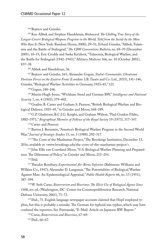<sup>104</sup> Bojtzov and Geissler.

105 Ken Alibek and Stephen Handelman, *Biohazard: The Chilling True Story of the Largest Covert Biological Weapons Program in the World, Told from the Inside by the Man Who Ran It* (New York: Random House, 2000), 29–31; Erhard Geissler, "Alibek, Tularemia and the Battle of Stalingrad," *The CBW Conventions Bulletin*, no. 69–70 (December 2005), 10–15; Eric Croddy and Sarka Krčálová, "Tularemia, Biological Warfare, and the Battle for Stalingrad (1942–1943)," *Military Medicine* 166, no. 10 (October 2001), 837–38.

106 Alibek and Handelman, 36.

107 Bojtzov and Geissler, 163; Alexander Gogun, *Stalin's Commandos: Ukrainian Partisan Forces on the Eastern Front* (London: I.B. Tauris and Co. Ltd., 2015), 141–146; Geissler, "Biological Warfare Activities in Germany, 1923–45," 121.

108 Gogun, 240–246.

109 Martin Hugh-Jones, "Wickham Steed and German BW," *Intelligence and National Security* 7, no. 4 (1992), 379–402.

110 Gradon B. Carter and Graham S. Pearson, "British Biological Warfare and Biological Defence, 1925–45," in Geissler and Moon, 168–189.

111 G.P. Gladstone, B.C.J.G. Knight, and Graham Wilson, "Paul Gordon Fildes, 1882–1971," *Biographical Memoirs of Fellows of the Royal Society* 19 (1973), 317–347. <sup>112</sup> Carter and Pearson.

113 Barton J. Bernstein, "America's Biological Warfare Program in the Second World War," *Journal of Strategic Studies* 11, no. 3 (1988), 292–317.

114 "The Costs of the Manhattan Project," The Brookings Institution, December 15, 2016, available at <www.brookings.edu/the-costs-of-the-manhattan-project/>.

115 John Ellis van Courtland Moon, "U.S. Biological Warfare Planning and Preparedness: The Dilemmas of Policy," in Geissler and Moon, 215–254.

116 Ibid.

117 Theodor Rosebury, *Experimental Air-Borne Infection* (Baltimore: Williams and Wilkins Co., 1947); Alexander D. Langmuir, "The Potentialities of Biological Warfare Against Man: An Epidemiological Appraisal," *Public Health Reports* 66, no. 13 (1951), 387–399.

118 W. Seth Carus, *Bioterrorism and Biocrimes: The Illicit Use of Biological Agents Since 1900*, rev. ed. (Washington, DC: Center for Counterproliferation Research, National Defense University, 2001), 71–73.

119 Ibid., 71. English language newspaper accounts claimed that Hopf employed typhus, but this is probably a mistake. The German for typhoid was typhus, which may have confused the reporters. See Furmanski, "E-Mail: Article on Japanese BW Report."

120 Carus, *Bioterrorism and Biocrimes*, 67–69.

121 Ibid., 66–67.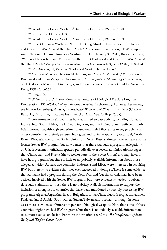122 Geissler, "Biological Warfare Activities in Germany, 1923–45," 121.

<sup>123</sup> Bojtzov and Geissler, 163.

124 Geissler, "Biological Warfare Activities in Germany, 1923–45," 121.

125 Robert Petersen, "'When a Nation Is Being Murdered'—The Secret Biological and Chemical War Against the Third Reich," PowerPoint presentation, CBW Symposium, National Defense University, Washington, DC, January 31, 2017; Robert Petersen, "'When a Nation Is Being Murdered'—The Secret Biological and Chemical War Against the Third Reich," *Zeszyty Naukowe Akademii Sztuki Wojennej* 103, no. 2 (2016), 158–174.

126 Lévi-Strauss, 51; Wheelis, "Biological Warfare before 1914."

127 Matthew Meselson, Martin M. Kaplan, and Mark A. Mokulsky, "Verification of Biological and Toxin Weapons Disarmament," in *Verification: Monitoring Disarmament*, ed. F. Calogero, Marvin L. Goldberger, and Sergei Petrovich Kapitza (Boulder: Westview Press, 1991), 123–164.

128 Langmuir.

129 W. Seth Carus, "Observations on a Century of Biological Warfare Program Proliferation (1915–2015)," *Nonproliferation Review*, forthcoming. For an earlier review, see Milton Leitenberg, *Assessing the Biological Weapons and Bioterrorism Threat* (Carlisle Barracks, PA: Strategic Studies Institute, U.S. Army War College, 2005).

<sup>130</sup> Governments in six countries have admitted to past activity, including Canada, France, Iraq, South Africa, the United Kingdom, and the United States. Sufficient unofficial information, although sometimes of uncertain reliability, exists to suggest that six other countries also actively pursued biological and toxin weapons: Egypt, Israel, North Korea, Rhodesia, the former Soviet Union, and Syria. Russia admitted the existence of the former Soviet BW program but now denies that there was such a program. Allegations by U.S. Government officials, repeated periodically over several administrations, suggest that China, Iran, and Russia (the successor state to the Soviet Union) also may have, or have had, programs, but there is little or no publicly available information about those alleged activities. At least two countries, Indonesia and Libya, were interested in acquiring BW, but there is no evidence that they ever succeeded in doing so. There is some evidence that Romania had a program during the Cold War, and Czechoslovakia may have been actively involved with the Soviet BW program, but more evidence is needed to substantiate such claims. In contrast, there is no publicly available information to support the inclusion of a long list of countries that have been mentioned as possibly possessing BW programs: Algeria, Argentina, Brazil, Bulgaria, Burma, Chile, Cuba, Georgia, India, Laos, Pakistan, Saudi Arabia, South Korea, Sudan, Taiwan, and Vietnam, although in some cases there is evidence of interest in pursuing biological weapons. Note that some of these countries might have had BW programs, but there is no publicly available information to support such a conclusion. For more information, see Carus, *The Proliferation of State Biological Warfare Capabilities*.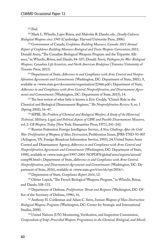131 Ibid.

132 Mark L. Wheelis, Lajos Rózsa, and Malcolm R. Dando, eds., *Deadly Cultures: Biological Weapons since 1945* (Cambridge: Harvard University Press, 2006).

133 Government of Canada, *Confidence Building Measures, Canada: 2011 Annual Report of Confidence Building Measures Biological and Toxin Weapons Convention*, 2011; Donald Avery, "The Canadian Biological Weapons Program and the Tripartite Alliance," in Wheelis, Rózsa, and Dando, 84–107; Donald Avery, *Pathogens for War: Biological Weapons, Canadian Life Scientists, and North American Biodefence* (Toronto: University of Toronto Press, 2013).

134 Department of State, *Adherence to and Compliance with Arms Control and Nonproliferation Agreements and Commitments* (Washington, DC: Department of State, 2001), 9, available at <www.state.gov/documents/organization/22466.pdf>; Department of State, *Adherence to and Compliance with Arms Control, Nonproliferation, and Disarmament Agreements and Commitments* (Washington, DC: Department of State, 2015), 14.

<sup>135</sup> The best review of what little is known is Eric Croddy, "China's Role in the Chemical and Biological Disarmament Regimes," *The Nonproliferation Review* 9, no. 1 (Spring 2002), 16–47.

136 SIPRI, *The Problem of Chemical and Biological Warfare: A Study of the Historical, Technical, Military, Legal, and Political Aspects of CBW, and Possible Disarmament Measures,*  vol. 2*: CB Weapons Today* (New York: Humanities Press, 1971), 241–242.

137 Russian Federation Foreign Intelligence Service, *A New Challenge After the Cold War: Proliferation of Weapons of Mass Destruction*, Proliferation Issues, JPRS-TND-93-007 (Arlington, VA: Foreign Broadcast Information Service, 1993), 24; United States Arms Control and Disarmament Agency, *Adherence to and Compliance with Arms Control and Nonproliferation Agreements and Commitments* (Washington, DC: Department of State, 1998), available at <www.state.gov/1997-2001-NOPDFS/global/arms/reports/annual/ comp98.html>; Department of State, *Adherence to and Compliance with Arms Control, Nonproliferation, and Disarmament Agreements and Commitments* (Washington, DC: Department of State, 2016), available at <www.state.gov/t/avc/rls/rpt/2016/>.

138 Department of State, *Compliance Report 2016*, 12.

139 Olivier Lepick, "The French Biological Weapons Program," in Wheelis, Rózsa, and Dando, 108–131.

140 Department of Defense, *Proliferation: Threat and Response* (Washington, DC: Office of the Secretary of Defense, 1996), 16.

141 Anthony H. Cordesman and Adam C. Seitz, *Iranian Weapons of Mass Destruction: Biological Weapons Programs* (Washington, DC: Center for Strategic and International Studies, 2008).

<sup>142</sup> United Nations (UN) Monitoring, Verification, and Inspection Commission, *Compendium of Iraq's Proscribed Weapons Programmes in the Chemical, Biological, and Missile*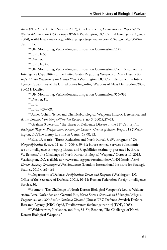*Areas* (New York: United Nations, 2007); Charles Duelfer, *Comprehensive Report of the Special Advisor to the DCI on Iraq's WMD* (Washington, DC: Central Intelligence Agency, 2004), available at <www.cia.gov/library/reports/general-reports-1/iraq\_wmd\_2004/index.html>.

143 UN Monitoring, Verification, and Inspection Commission, 1149.

144 Ibid., 1055.

<sup>145</sup> Duelfer.

146 Ibid., 10, 45.

147 UN Monitoring, Verification, and Inspection Commission; Commission on the Intelligence Capabilities of the United States Regarding Weapons of Mass Destruction, *Report to the President of the United States* (Washington, DC: Commission on the Intelligence Capabilities of the United States Regarding Weapons of Mass Destruction, 2005), 80–111; Duelfer.

148 UN Monitoring, Verification, and Inspection Commission, 956–962.

149 Duelfer, 11.

<sup>150</sup> Ibid.

151 Ibid., 405–408.

152 Avner Cohen, "Israel and Chemical/Biological Weapons: History, Deterrence, and Arms Control," *The Nonproliferation Review* 8, no. 3 (2001), 27–53.

<sup>153</sup> Graham S. Pearson, "The Threat of Deliberate Disease in the 21<sup>st</sup> Century," in *Biological Weapons Proliferation: Reasons for Concern, Courses of Action*, Report 18 (Washington, DC: The Henry L. Stimson Center, 1998), 32.

154 Elisa D. Harris, "Threat Reduction and North Korea's CBW Programs," *The Nonproliferation Review* 11, no. 3 (2004), 89–91; House Armed Services Subcommittee on Intelligence, Emerging Threats and Capabilities, testimony presented by Bruce W. Bennett, "The Challenge of North Korean Biological Weapons," October 11, 2013, Washington, DC, available at <www.rand.org/pubs/testimonies/CT401.html>; *North Korean Security Challenges: A Net Assessment* (London: International Institute for Strategic Studies, 2011), 161–169.

155 Department of Defense, *Proliferation: Threat and Response* (Washington, DC: Office of the Secretary of Defense, 2001), 10–11; Russian Federation Foreign Intelligence Service, 30.

156 Bennett, "The Challenge of North Korean Biological Weapons"; Louise Waldenström, Lena Norlander, and Gertrud Puu, *North Korea's Chemical and Biological Weapons Programmes in 2005: Real or Outdated Threats?* (Umeå: NBC Defence, Swedish Defence Research Agency [NBC-skydd, Totalförsvarets forskningsinstitut] (FOI), 2005).

157 Waldenström, Norlander, and Puu, 55–56; Bennett, "The Challenge of North Korean Biological Weapons."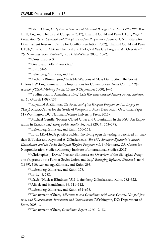158 Glenn Cross, *Dirty War: Rhodesia and Chemical Biological Warfare 1975–1980* (Solihull, England: Helion and Company, 2017); Chandré Gould and Peter I. Folb, *Project Coast: Apartheid's Chemical and Biological Warfare Programme* (Geneva: UN Institute for Disarmament Research Centre for Conflict Resolution, 2002); Chandré Gould and Peter I. Folb, "The South African Chemical and Biological Warfare Program: An Overview," *The Nonproliferation Review* 7, no. 3 (Fall–Winter 2000), 10–23.

159 Cross, chapter 3.

160 Gould and Folb, *Project Coast*.

161 Ibid., 64–65.

162 Leitenberg, Zilinskas, and Kuhn.

163 Anthony Rimmington, "Invisible Weapons of Mass Destruction: The Soviet Union's BW Programme and Its Implications for Contemporary Arms Control," *The Journal of Slavic Military Studies* 13, no. 3 (September 2000), 1–46.

164 "Stalin's Plan to Assassinate Tito," *Cold War International History Project Bulletin*, no. 10 (March 1998), 137.

165 Raymond A Zilinskas, *The Soviet Biological Weapons Program and Its Legacy in Today's Russia*, Center for the Study of Weapons of Mass Destruction Occasional Paper 11 (Washington, DC: National Defense University Press, 2016).

166 Michael Gentile, "Former Closed Cities and Urbanisation in the FSU: An Exploration in Kazakhstan," *Europe-Asia Studies* 56, no. 2 (2004), 263–278.

167 Leitenberg, Zilinskas, and Kuhn, 160–161.

168 Ibid., 121–136; A possible accident involving open air testing is described in Jonathan B. Tucker and Raymond A. Zilinskas, eds., *The 1971 Smallpox Epidemic in Aralsk, Kazakhstan, and the Soviet Biological Warfare Program*, vol. 9 (Monterey, CA: Center for Nonproliferation Studies, Monterey Institute of International Studies, 2002).

169 Christopher J. Davis, "Nuclear Blindness: An Overview of the Biological Weapons Programs of the Former Soviet Union and Iraq," *Emerging Infectious Diseases* 5, no. 4 (1999), 510; Leitenberg, Zilinskas, and Kuhn, 293.

170 Leitenberg, Zilinskas, and Kuhn, 178.

171 Ibid., 46, 288.

172 Davis, "Nuclear Blindness," 511; Leitenberg, Zilinskas, and Kuhn, 282–322.

173 Alibek and Handelman, 99, 111–112.

174 Leitenberg, Zilinskas, and Kuhn, 631–678.

175 Department of State, *Adherence to and Compliance with Arms Control, Nonproliferation, and Disarmament Agreements and Commitments* (Washington, DC: Department of State, 2005), 31.

176 Department of State, *Compliance Report 2016*, 12–13.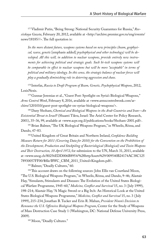177 Vladimir Putin, "Being Strong: National Security Guarantees for Russia," *Rossiiskaya Gazeta*, February 20, 2012, available at <http://archive.premier.gov.ru/eng/events/ news/18185//>. The full quotation is:

*In the more distant future, weapons systems based on new principles (beam, geophysical, wave, genetic* [emphasis added] *psychophysical and other technology) will be developed. All this will, in addition to nuclear weapons, provide entirely new instruments for achieving political and strategic goals. Such hi-tech weapons systems will be comparable in effect to nuclear weapons but will be more "acceptable" in terms of political and military ideology. In this sense, the strategic balance of nuclear forces will play a gradually diminishing role in deterring aggression and chaos.*

178 Interfax, *Russia to Draft Program of Beam, Genetic, Psychophysical Weapons*, 2012, LexisNexis.

179 Gunnar Jeremias et al., "Guest Post: Spotlight on Syria's Biological Weapons," *Arms Control Wonk*, February 8, 2016, available at <www.armscontrolwonk.com/archive/1201010/guest-post-spotlight-on-syrias-biological-weapons/>.

180 Dany Shoham, *Chemical and Biological Weapons in the Arab Countries and Iran—An Existential Threat to Israel?* (Shaarei Tikva, Israel: The Ariel Center for Policy Research, 2001), 35–36, 99, available at <www.acpr.org.il/publications/books/Shoham-2001.pdf>.

181 Brian Balmer, "The UK Biological Weapons Program," in Wheelis, Rózsa, and Dando, 47–83.

182 United Kingdom of Great Britain and Northern Ireland, *Confidence Building Measure Return for 2011 (Covering Data for 2010) for the Convention on the Prohibition of the Development, Production and Stockpiling of Bacteriological (Biological) and Toxin Weapons and Their Destruction, 10 April 1972*, for submission to the UN, March 31, 2011, available at <www.unog.ch/80256EDD006B8954/%28httpAssets%29/009540B24174AC38C125 78930057FF00/\$file/BWC\_CBM\_2011\_United+Kingdom.pdf>.

183 Balmer, "Deadly Cultures," 60.

<sup>184</sup> This account draws on the following sources: John Ellis van Courtland Moon, "The U.S. Biological Weapons Program," in Wheelis, Rózsa, and Dando, 9–46; Alastair Hay, "Simulants, Stimulants and Diseases: The Evolution of the United States Biological Warfare Programme, 1945–60," *Medicine, Conflict and Survival* 15, no. 3 ( July 1999), 198–214; Alastair Hay, "A Magic Sword or a Big Itch: An Historical Look at the United States Biological Weapons Programme," *Medicine, Conflict and Survival* 15, no. 3 ( July 1999), 215–234; Jonathan B. Tucker and Erin R. Mahan, *President Nixon's Decision to Renounce the U.S. Offensive Biological Weapons Program*, Center for the Study of Weapons of Mass Destruction Case Study 1 (Washington, DC: National Defense University Press, 2009).

185 Moon, "Deadly Cultures."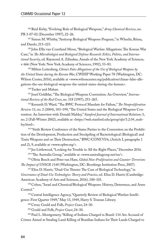186 Reid Kirby, "Evolving Role of Biological Weapons," *Army Chemical Review*, no. PB 3-07-02 (December 1997), 22–26.

187 Simon M. Whitby, "Anticrop Biological Weapons Program," in Wheelis, Rózsa, and Dando, 213–223.

188 John Ellis van Courtland Moon, "Biological Warfare Allegations: The Korean War Case," in *The Microbiologist and Biological Defense Research: Ethics, Politics, and International Security*, ed. Raymond A. Zilinskas, Annals of the New York Academy of Sciences, v. 666 (New York: New York Academy of Sciences, 1992), 53–83.

189 Milton Leitenberg, *China's False Allegations of the Use of Biological Weapons by the United States during the Korean War*, CWIHP Working Paper 78 (Washington, DC: Wilson Center, 2016), available at <www.wilsoncenter.org/publication/chinas-false-allegations-the-use-biological-weapons-the-united-states-during-the-korean>.

<sup>190</sup> Tucker and Mahan.

191 Josef Goldblat, "The Biological Weapons Convention: An Overview," *International Review of the Red Cross*, no. 318 (1997), 251–265.

192 Kenneth D. Ward, "The BWC Protocol Mandate for Failure," *The Nonproliferation Review* 11, no. 2 (2004), 183–199; "The United States and the Biological Weapons Convention: An Interview with Donald Mahley," *Stanford Journal of International Relations* 3, no. 2 (Fall–Winter 2002), available at <https://web.stanford.edu/group/sjir/3.2.04\_mahley.html>.

193 "Sixth Review Conference of the States Parties to the Convention on the Prohibition of the Development, Production and Stockpiling of Bacteriological (Biological) and Toxin Weapons and on Their Destruction," BWC/CONF.VI/6, (Article I, paragraphs 1 and 2), 9, available at <www.opbw.org/>.

194 Jez Littlewood, "Looking for Trouble in All the Right Places," December 2016.

195 "The Australia Group," available at <www.australiagroup.net/en/>.

196 Olivia Bosch and Peter van Ham, *Global Non-Proliferation and Counter-Terrorism: The Impact of UNSCR 1540* (Washington, DC: Brookings Institution Press, 2007).

197 Elisa D. Harris, "Dual-Use Threats: The Case of Biological Technology," in

*Governance of Dual-Use Technologies: Theory and Practice*, ed. Elisa D. Harris (Cambridge: American Academy of Arts and Sciences, 2016), 100–101.

198 Cohen, "Israel and Chemical/Biological Weapons: History, Deterrence, and Arms Control."

<sup>199</sup> Central Intelligence Agency, "Quarterly Review of Biological Warfare Intelligence: First Quarter 1949," May 13, 1949, Harry S. Truman Library.

200 Cross; Gould and Folb, *Project Coast*, 24–30.

201 Gould and Folb, *Project Coast*, 24–30.

202 Paul L. Montgomery, "Killing of Indians Charged in Brazil: 134 Are Accused of Crimes Aimed at Stealing Land Killing of Brazilian Indians for Their Lands Charged to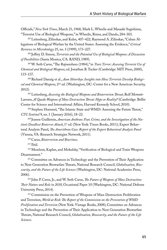Officials," *New York Times*, March 21, 1968; Mark L. Wheelis and Masaaki Sugishima, "Terrorist Use of Biological Weapons," in Wheelis, Rózsa, and Dando, 284–303.

203 Leitenberg, Zilinskas, and Kuhn, 407–422; Raymond A. Zilinskas, "Cuban Allegations of Biological Warfare by the United States: Assessing the Evidence," *Critical Reviews in Microbiology* 25, no. 3 (1999), 173–227.

204 Jeffrey D. Simon, *Terrorists and the Potential Use of Biological Weapons: A Discussion of Possibilities* (Santa Monica, CA: RAND, 1989).

205 W. Seth Carus, "The Rajneeshees (1984)," in *Toxic Terror: Assessing Terrorist Use of Chemical and Biological Weapons*, ed. Jonathan B. Tucker (Cambridge: MIT Press, 2000), 115–137.

206 Richard Danzig et al., *Aum Shinrikyo: Insights into How Terrorists Develop Biological and Chemical Weapons*, 2nd ed. (Washington, DC: Center for a New American Security, 2012).

207 Leitenberg, *Assessing the Biological Weapons and Bioterrorism Threat*; Rolf Mowatt-Larssen, *Al Qaeda Weapons of Mass Destruction Threat: Hype or Reality?* (Cambridge: Belfer Center for Science and International Affairs, Harvard Kennedy School, 2010).

<sup>208</sup> Stephen Hummel, "The Islamic State and WMD: Assessing the Future Threat," *CTC Sentinel* 9, no. 1 ( January 2016), 18–22.

209 Jeanne Guillemin, *American Anthrax: Fear, Crime, and the Investigation of the Na*tion's Deadliest Bioterror Attack, 1<sup>st</sup> ed. (New York: Times Books, 2011); Expert Behavioral Analysis Panel, *The Amerithrax Case: Report of the Expert Behavioral Analysis Panel* (Vienna, VA: Research Strategies Network, 2011).

210 Carus, *Bioterrorism and Biocrimes*.

211 Ibid.

212 Meselson, Kaplan, and Mokulsky, "Verification of Biological and Toxin Weapons Disarmament."

<sup>213</sup> Committee on Advances in Technology and the Prevention of Their Application to Next Generation Biowarfare Threats, National Research Council, *Globalization, Biosecurity, and the Future of the Life Sciences* (Washington, DC: National Academies Press, 2006).

214 John P. Caves, Jr., and W. Seth Carus, *The Future of Weapons of Mass Destruction: Their Nature and Role in 2030*, Occasional Paper 10 (Washington, DC: National Defense University Press, 2014).

215 Commission on the Prevention of Weapons of Mass Destruction Proliferation and Terrorism, *World at Risk: The Report of the Commission on the Prevention of WMD Proliferation and Terrorism* (New York: Vintage Books, 2008); Committee on Advances in Technology and the Prevention of Their Application to Next Generation Biowarfare Threats, National Research Council, *Globalization, Biosecurity, and the Future of the Life Sciences*.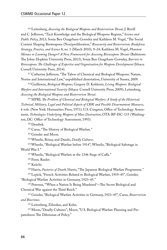216 Leitenberg, *Assessing the Biological Weapons and Bioterrorism Threat*; J. Revill and C. Jefferson, "Tacit Knowledge and the Biological Weapons Regime," *Science and Public Policy*, 2013; Sonia Ben Ouagrham-Gormley and Kathleen M. Vogel, "The Social Context Shaping Bioweapons (Non)proliferation," *Biosecurity and Bioterrorism: Biodefense Strategy, Practice, and Science* 8, no. 1 (March 2010), 9–24; Kathleen M. Vogel, *Phantom Menace or Looming Danger? A New Framework for Assessing Bioweapons Threats* (Baltimore: The Johns Hopkins University Press, 2013); Sonia Ben Ouagrham-Gormley, *Barriers to Bioweapons: The Challenges of Expertise and Organization for Weapons Development* (Ithaca: Cornell University Press, 2014).

<sup>217</sup> Catherine Jefferson, "The Taboo of Chemical and Biological Weapons: Nature, Norms and International Law," unpublished dissertation, University of Sussex, 2009.

218 Guillemin, *Biological Weapons*; Gregory D. Koblentz, *Living Weapons: Biological Warfare and International Security* (Ithaca: Cornell University Press, 2009); Leitenberg, *Assessing the Biological Weapons and Bioterrorism Threat*.

219 SIPRI, *The Problem of Chemical and Biological Warfare: A Study of the Historical, Technical, Military, Legal and Political Aspects of CBW, and Possible Disarmament Measures*, 6 vols. (New York: Humanities Press, 1971); U.S. Congress, Office of Technology Assessment, *Technologies Underlying Weapons of Mass Destruction*, OTA-BP-ISC-115 (Washington, DC: Office of Technology Assessment, 1993).

220 Dembek.

<sup>221</sup> Carus, "The History of Biological Warfare."

222 Geissler and Moon.

223 Wheelis, Rózsa, and Dando, *Deadly Cultures*.

224 Wheelis, "Biological Warfare before 1914"; Wheelis, "Biological Sabotage in World War I."

225 Wheelis, "Biological Warfare at the 1346 Siege of Caffa."

226 Fenn; Ranlet.

227 Keiichi.

228 Harris, *Factories of Death*; Harris, "The Japanese Biological Warfare Programme."

229 Lepick, "French Activities Related to Biological Warfare, 1919–45"; Geissler,

"Biological Warfare Activities in Germany, 1923–45."

230 Petersen, "'When a Nation Is Being Murdered'—The Secret Biological and Chemical War against the Third Reich."

231 Geissler, "Biological Warfare Activities in Germany, 1923–45"; Carus, *Bioterrorism and Biocrimes*.

232 Leitenberg, Zilinskas, and Kuhn.

233 Moon, "Deadly Cultures"; Moon, "U.S. Biological Warfare Planning and Preparedness: The Dilemmas of Policy."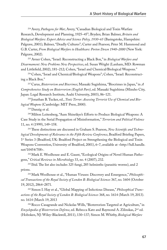234 Avery, *Pathogens for War*; Avery, "Canadian Biological and Toxin Warfare Research, Development and Planning, 1925–45"; Bryden; Brian Balmer, *Britain and Biological Warfare: Expert Advice and Science Policy, 1930–65* (Basingstoke, Hampshire: Palgrave, 2001); Balmer, "Deadly Cultures"; Carter and Pearson; Peter M. Hammond and G.B. Carter, *From Biological Warfare to Healthcare: Porton Down 1940–2000* (New York: Palgrave, 2002).

235 Avner Cohen, "Israel: Reconstructing a Black Box," in *Biological Warfare and Disarmament: New Problems New Perspectives*, ed. Susan Wright (Lanham, MD: Rowman and Littlefield, 2002), 181–212; Cohen, "Israel and Chemical/Biological Weapons."

236 Cohen, "Israel and Chemical/Biological Weapons"; Cohen, "Israel: Reconstructing a Black Box."

237 Carus, *Bioterrorism and Biocrimes*; Masaaki Sugishima, "Biocrimes in Japan," in *A Comprehensive Study on Bioterrorism (English Part)*, ed. Masaaki Sugishima (Mizuho City, Japan: Legal Research Institute, Asahi University, 2003), 86–121.

238 Jonathan B. Tucker, ed., *Toxic Terror: Assessing Terrorist Use of Chemical and Biological Weapons* (Cambridge: MIT Press, 2000).

239 Danzig et al.

240 Milton Leitenberg, "Aum Shinrikyo's Efforts to Produce Biological Weapons: A Case Study in the Serial Propagation of Misinformation," *Terrorism and Political Violence* 11, no. 4 (1999), 149–158.

241 These distinctions are discussed in Graham S. Pearson, *New Scientific and Technological Developments of Relevance to the Fifth Review Conference*, Bradford Briefing Papers, 1st Series 3 (Bradford, UK: Bradford Project on Strengthening the Biological and Toxin Weapons Convention, University of Bradford, 2001), 6–7, available at <http://hdl.handle. net/10454/708>.

<sup>242</sup> Mark E. Woolhouse and E. Gaunt, "Ecological Origins of Novel Human Pathogens," *Critical Reviews in Microbiology* 33, no. 4 (2007), 232.

243 Ibid. The list also includes 325 fungi, 285 helminths (parasitic worms), and 2 prions.

244 Mark Woolhouse et al., "Human Viruses: Discovery and Emergence," *Philosophical Transactions of the Royal Society of London B: Biological Sciences* 367, no. 1604 (October 19, 2012), 2864–2871.

245 Simon I. Hay et al., "Global Mapping of Infectious Disease," *Philosophical Transactions of the Royal Society of London B: Biological Sciences* 368, no. 1614 (March 19, 2013). no. 1614 (March 19, 2013

<sup>246</sup> Rocco Casagrande and Nickolas Wills, "Bioterrorism Targeted at Agriculture," in *Encyclopedia of Bioterrorism Defense*, ed. Rebecca Katz and Raymond A. Zilinskas, 2nd ed. (Hoboken, NJ: Wiley-Blackwell, 2011), 130–137; Simon M. Whitby, *Biological Warfare*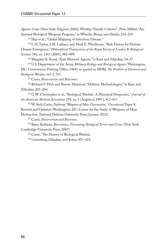*Against Crops* (New York: Palgrave, 2002); Whitby, "Deadly Cultures"; Piers Millett, "Antianimal Biological Weapons Program," in Wheelis, Rózsa, and Dando, 224–235.

<sup>247</sup> Hay et al., "Global Mapping of Infectious Disease."

248 L.H. Taylor, S.M. Latham, and Mark E. Woolhouse, "Risk Factors for Human Disease Emergence," *Philosophical Transactions of the Royal Society of London B: Biological Sciences* 356, no. 1411 (2001), 983–989.

249 Margaret E. Kosal, "Anti-Materiel Agents," in Katz and Zilinskas, 54–57.

250 U.S. Department of the Army, *Military Biology and Biological Agents* (Washington, DC: Government Printing Office, 1964), as quoted in SIPRI, *The Problem of Chemical and Biological Warfare*, vol. 2, 311.

251 Carus, *Bioterrorism and Biocrimes*.

252 Richard F. Pilch and Nazrin Masinova, "Delivery Methodologies," in Katz and Zilinskas, 201–204.

253 G.W. Christopher et al., "Biological Warfare: A Historical Perspective," *Journal of the American Medical Association* 278, no. 5 (August 6, 1997), 412–417.

254 W. Seth Carus, *Defining "Weapons of Mass Destruction,"* Occasional Paper 8, Revised and Updated (Washington, DC: Center for the Study of Weapons of Mass Destruction, National Defense University Press, January 2012).

255 Carus, *Bioterrorism and Biocrimes*.

256 Barry Kellman, *Bioviolence: Preventing Biological Terror and Crime* (New York: Cambridge University Press, 2007).

257 Carus, "The History of Biological Warfare.

258 Leitenberg, Zilinskas, and Kuhn, 407–422.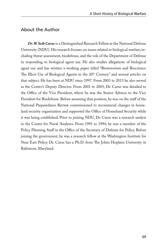# About the Author

*Dr. W. Seth Carus* is a Distinguished Research Fellow at the National Defense University (NDU). His research focuses on issues related to biological warfare, including threat assessment, biodefense, and the role of the Department of Defense in responding to biological agent use. He also studies allegations of biological agent use and has written a working paper titled "Bioterrorism and Biocrimes: The Illicit Use of Biological Agents in the 20<sup>th</sup> Century" and several articles on that subject. He has been at NDU since 1997. From 2003 to 2013 he also served as the Center's Deputy Director. From 2001 to 2003, Dr. Carus was detailed to the Office of the Vice President, where he was the Senior Advisor to the Vice President for Biodefense. Before assuming that position, he was on the staff of the National Preparedness Review commissioned to recommend changes in homeland security organization and supported the Office of Homeland Security while it was being established. Prior to joining NDU, Dr. Carus was a research analyst in the Center for Naval Analyses. From 1991 to 1994, he was a member of the Policy Planning Staff in the Office of the Secretary of Defense for Policy. Before joining the government, he was a research fellow at the Washington Institute for Near East Policy. Dr. Carus has a Ph.D. from The Johns Hopkins University in Baltimore, Maryland.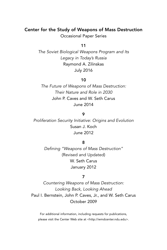# Center for the Study of Weapons of Mass Destruction

Occasional Paper Series

## 11

*The Soviet Biological Weapons Program and Its Legacy in Today's Russia* Raymond A. Zilinskas July 2016

#### 10

*The Future of Weapons of Mass Destruction: Their Nature and Role in 2030* John P. Caves and W. Seth Carus June 2014

## 9

*Proliferation Security Initiative: Origins and Evolution* Susan J. Koch June 2012

#### 8

*Defining "Weapons of Mass Destruction"* (Revised and Updated) W. Seth Carus January 2012

#### 7

*Countering Weapons of Mass Destruction: Looking Back, Looking Ahead*  Paul I. Bernstein, John P. Caves, Jr., and W. Seth Carus October 2009

For additional information, including requests for publications, please visit the Center Web site at <http://wmdcenter.ndu.edu>.